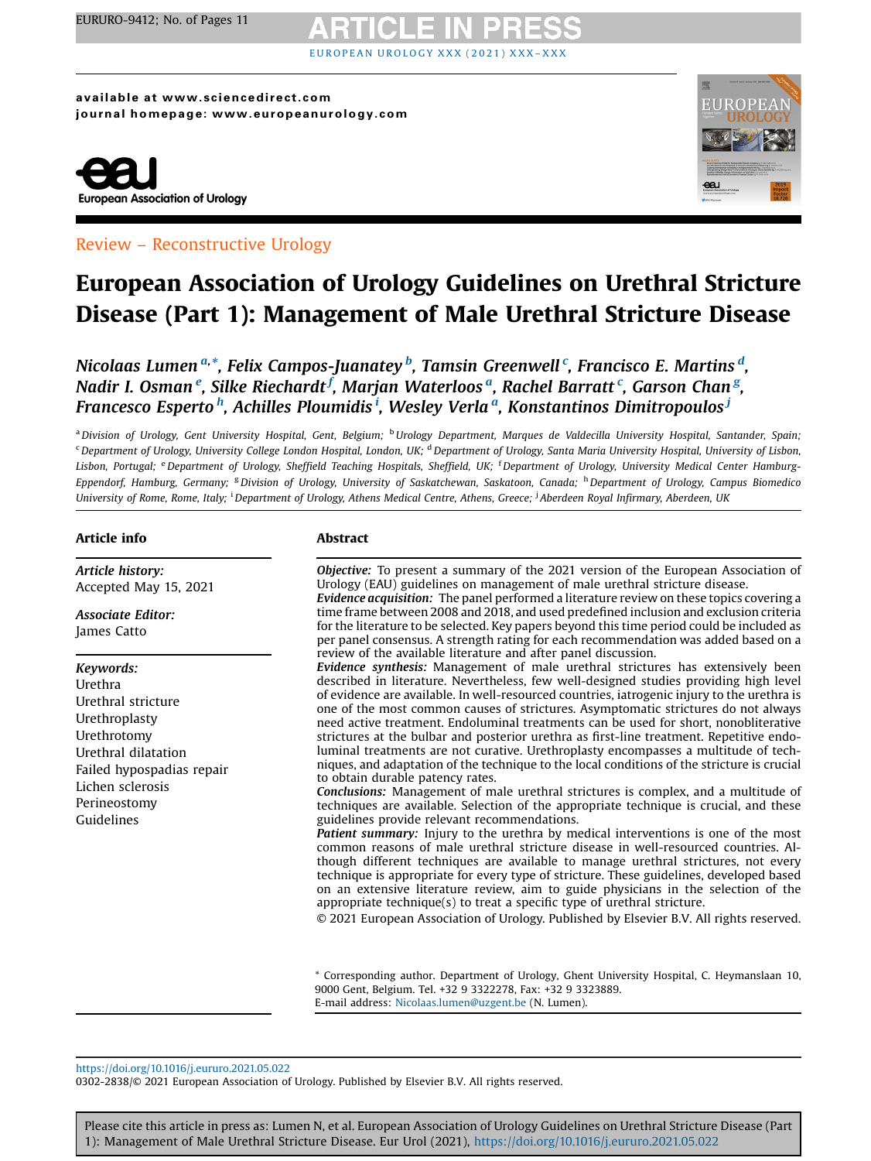# EUROPEA[N](https://doi.org/10.1016/j.eururo.2021.05.022) UROLOGY XXX (2021) XXX

available at www.sciencedirect.com journal homepage: www.europeanurology.com





### Review – Reconstructive Urology

## European Association of Urology Guidelines on Urethral Stricture Disease (Part 1): Management of Male Urethral Stricture Disease

Nicolaas Lumen<sup>a,</sup>\*, Felix Campos-Juanatey <sup>b</sup>, Tamsin Greenwell <sup>c</sup>, Francisco E. Martins <sup>d</sup>, Nadir I. Osman $\,{}^e$ , Silke Riechardt $^f$ , Marjan Waterloos $\,{}^a$ , Rachel Barratt $\,{}^c$ , Garson Chan $\,{}^g$ , Francesco Esperto <sup>h</sup>, Achilles Ploumidis <sup>i</sup>, Wesley Verla <sup>a</sup>, Konstantinos Dimitropoulos <sup>j</sup>

a Division of Urology, Gent University Hospital, Gent, Belgium; <sup>b</sup>Urology Department, Marques de Valdecilla University Hospital, Santander, Spain; <sup>c</sup> Department of Urology, University College London Hospital, London, UK; <sup>d</sup> Department of Urology, Santa Maria University Hospital, University of Lisbon, Lisbon, Portugal; <sup>e</sup> Department of Urology, Sheffield Teaching Hospitals, Sheffield, UK; <sup>f</sup> Department of Urology, University Medical Center Hamburg-Eppendorf, Hamburg, Germany; <sup>g</sup>Division of Urology, University of Saskatchewan, Saskatoon, Canada; <sup>h</sup>Department of Urology, Campus Biomedico University of Rome, Rome, Italy; <sup>i</sup> Department of Urology, Athens Medical Centre, Athens, Greece; <sup>j</sup> Aberdeen Royal Infirmary, Aberdeen, UK

#### Article info

Article history: Accepted May 15, 2021

Associate Editor: James Catto

#### Keywords:

Urethra Urethral stricture Urethroplasty Urethrotomy Urethral dilatation Failed hypospadias repair Lichen sclerosis Perineostomy Guidelines

#### Abstract

Objective: To present a summary of the 2021 version of the European Association of Urology (EAU) guidelines on management of male urethral stricture disease.

Evidence acquisition: The panel performed a literature review on these topics covering a time frame between 2008 and 2018, and used predefined inclusion and exclusion criteria for the literature to be selected. Key papers beyond this time period could be included as per panel consensus. A strength rating for each recommendation was added based on a review of the available literature and after panel discussion.

Evidence synthesis: Management of male urethral strictures has extensively been described in literature. Nevertheless, few well-designed studies providing high level of evidence are available. In well-resourced countries, iatrogenic injury to the urethra is one of the most common causes of strictures. Asymptomatic strictures do not always need active treatment. Endoluminal treatments can be used for short, nonobliterative strictures at the bulbar and posterior urethra as first-line treatment. Repetitive endoluminal treatments are not curative. Urethroplasty encompasses a multitude of techniques, and adaptation of the technique to the local conditions of the stricture is crucial to obtain durable patency rates.

Conclusions: Management of male urethral strictures is complex, and a multitude of techniques are available. Selection of the appropriate technique is crucial, and these guidelines provide relevant recommendations.

Patient summary: Injury to the urethra by medical interventions is one of the most common reasons of male urethral stricture disease in well-resourced countries. Although different techniques are available to manage urethral strictures, not every technique is appropriate for every type of stricture. These guidelines, developed based on an extensive literature review, aim to guide physicians in the selection of the appropriate technique(s) to treat a specific type of urethral stricture.

© 2021 European Association of Urology. Published by Elsevier B.V. All rights reserved.

\* Corresponding author. Department of Urology, Ghent University Hospital, C. Heymanslaan 10, 9000 Gent, Belgium. Tel. +32 9 3322278, Fax: +32 9 3323889. E-mail address: [Nicolaas.lumen@uzgent.be](mailto:Nicolaas.lumen@uzgent.be) (N. Lumen).

<https://doi.org/10.1016/j.eururo.2021.05.022>

0302-2838/© 2021 European Association of Urology. Published by Elsevier B.V. All rights reserved.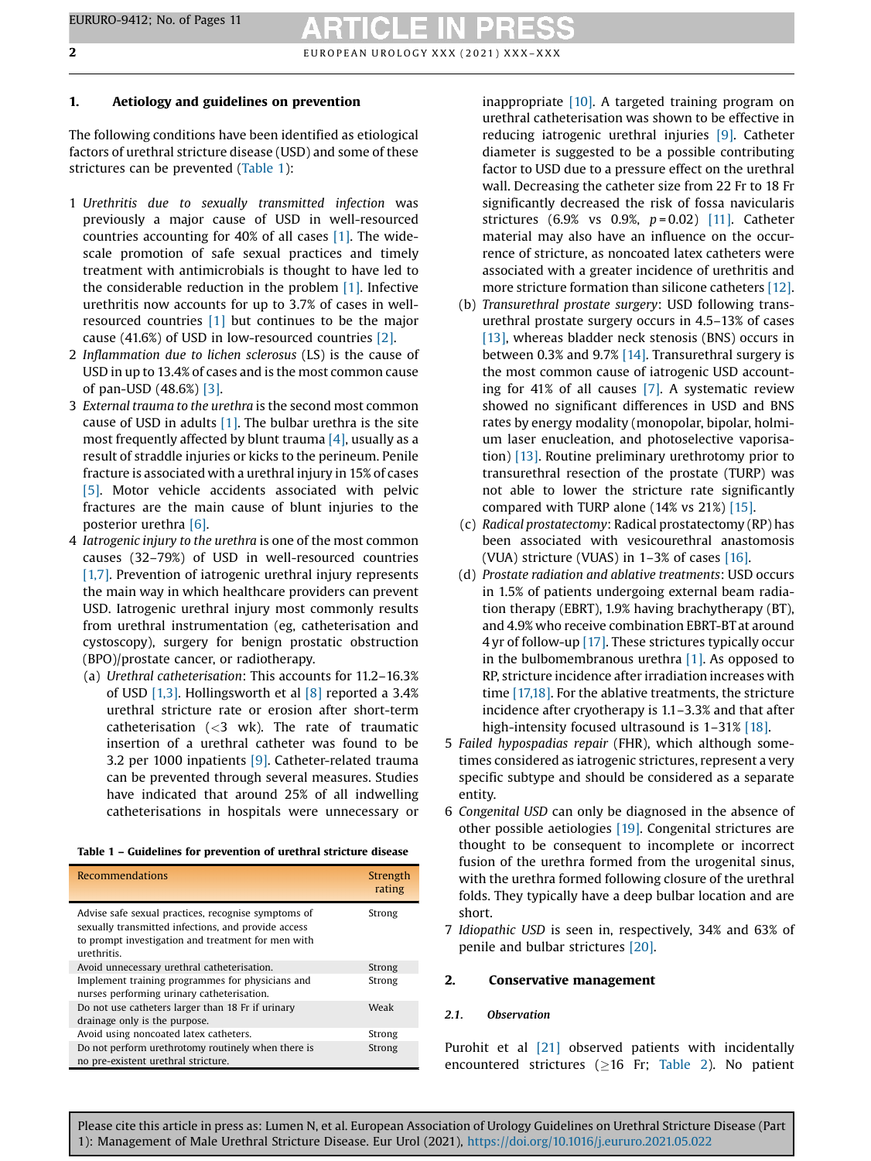### 1. Aetiology and guidelines on prevention

The following conditions have been identified as etiological factors of urethral stricture disease (USD) and some of these strictures can be prevented (Table 1):

- 1 Urethritis due to sexually transmitted infection was previously a major cause of USD in well-resourced countries accounting for 40% of all cases [\[1\]](#page-8-0). The widescale promotion of safe sexual practices and timely treatment with antimicrobials is thought to have led to the considerable reduction in the problem [\[1\]](#page-8-0). Infective urethritis now accounts for up to 3.7% of cases in wellresourced countries [\[1\]](#page-8-0) but continues to be the major cause (41.6%) of USD in low-resourced countries [\[2\]](#page-8-0).
- 2 Inflammation due to lichen sclerosus (LS) is the cause of USD in up to 13.4% of cases and is the most common cause of pan-USD (48.6%) [\[3\]](#page-8-0).
- 3 External trauma to the urethra is the second most common cause of USD in adults  $[1]$ . The bulbar urethra is the site most frequently affected by blunt trauma  $[4]$ , usually as a result of straddle injuries or kicks to the perineum. Penile fracture is associated with a urethral injury in 15% of cases [\[5\]](#page-8-0). Motor vehicle accidents associated with pelvic fractures are the main cause of blunt injuries to the posterior urethra [\[6\]](#page-8-0).
- 4 Iatrogenic injury to the urethra is one of the most common causes (32–79%) of USD in well-resourced countries [\[1,7\].](#page-8-0) Prevention of iatrogenic urethral injury represents the main way in which healthcare providers can prevent USD. Iatrogenic urethral injury most commonly results from urethral instrumentation (eg, catheterisation and cystoscopy), surgery for benign prostatic obstruction (BPO)/prostate cancer, or radiotherapy.
	- (a) Urethral catheterisation: This accounts for 11.2–16.3% of USD [\[1,3\].](#page-8-0) Hollingsworth et al [\[8\]](#page-8-0) reported a 3.4% urethral stricture rate or erosion after short-term catheterisation  $\left( < \frac{3}{2} \right)$  wk). The rate of traumatic insertion of a urethral catheter was found to be 3.2 per 1000 inpatients [\[9\].](#page-8-0) Catheter-related trauma can be prevented through several measures. Studies have indicated that around 25% of all indwelling catheterisations in hospitals were unnecessary or

| <b>Recommendations</b>                                                                                                                                                          | Strength<br>rating |
|---------------------------------------------------------------------------------------------------------------------------------------------------------------------------------|--------------------|
| Advise safe sexual practices, recognise symptoms of<br>sexually transmitted infections, and provide access<br>to prompt investigation and treatment for men with<br>urethritis. | Strong             |
| Avoid unnecessary urethral catheterisation.                                                                                                                                     | Strong             |
| Implement training programmes for physicians and<br>nurses performing urinary catheterisation.                                                                                  | Strong             |
| Do not use catheters larger than 18 Fr if urinary                                                                                                                               | Weak               |
| drainage only is the purpose.                                                                                                                                                   |                    |
| Avoid using noncoated latex catheters.                                                                                                                                          | Strong             |
| Do not perform urethrotomy routinely when there is<br>no pre-existent urethral stricture.                                                                                       | Strong             |

inappropriate [\[10\]](#page-8-0). A targeted training program on urethral catheterisation was shown to be effective in reducing iatrogenic urethral injuries [\[9\].](#page-8-0) Catheter diameter is suggested to be a possible contributing factor to USD due to a pressure effect on the urethral wall. Decreasing the catheter size from 22 Fr to 18 Fr significantly decreased the risk of fossa navicularis strictures (6.9% vs 0.9%,  $p = 0.02$ ) [\[11\]](#page-8-0). Catheter material may also have an influence on the occurrence of stricture, as noncoated latex catheters were associated with a greater incidence of urethritis and more stricture formation than silicone catheters [\[12\]](#page-8-0).

- (b) Transurethral prostate surgery: USD following transurethral prostate surgery occurs in 4.5–13% of cases [\[13\],](#page-8-0) whereas bladder neck stenosis (BNS) occurs in between 0.3% and 9.7% [\[14\].](#page-8-0) Transurethral surgery is the most common cause of iatrogenic USD accounting for 41% of all causes [\[7\]](#page-8-0). A systematic review showed no significant differences in USD and BNS rates by energy modality (monopolar, bipolar, holmium laser enucleation, and photoselective vaporisation) [\[13\]](#page-8-0). Routine preliminary urethrotomy prior to transurethral resection of the prostate (TURP) was not able to lower the stricture rate significantly compared with TURP alone (14% vs 21%) [\[15\]](#page-8-0).
- (c) Radical prostatectomy: Radical prostatectomy (RP) has been associated with vesicourethral anastomosis (VUA) stricture (VUAS) in 1–3% of cases [\[16\].](#page-8-0)
- (d) Prostate radiation and ablative treatments: USD occurs in 1.5% of patients undergoing external beam radiation therapy (EBRT), 1.9% having brachytherapy (BT), and 4.9% who receive combination EBRT-BTat around 4 yr of follow-up [\[17\]](#page-8-0). These strictures typically occur in the bulbomembranous urethra [\[1\].](#page-8-0) As opposed to RP, stricture incidence after irradiation increases with time [\[17,18\].](#page-8-0) For the ablative treatments, the stricture incidence after cryotherapy is 1.1–3.3% and that after high-intensity focused ultrasound is 1-31% [\[18\]](#page-8-0).
- 5 Failed hypospadias repair (FHR), which although sometimes considered as iatrogenic strictures, represent a very specific subtype and should be considered as a separate entity.
- 6 Congenital USD can only be diagnosed in the absence of other possible aetiologies [\[19\].](#page-8-0) Congenital strictures are thought to be consequent to incomplete or incorrect fusion of the urethra formed from the urogenital sinus, with the urethra formed following closure of the urethral folds. They typically have a deep bulbar location and are short.
- 7 Idiopathic USD is seen in, respectively, 34% and 63% of penile and bulbar strictures [\[20\]](#page-8-0).

#### 2. Conservative management

#### 2.1. Observation

Purohit et al [\[21\]](#page-8-0) observed patients with incidentally encountered strictures ( $\geq$ 16 Fr; [Table](#page-2-0) 2). No patient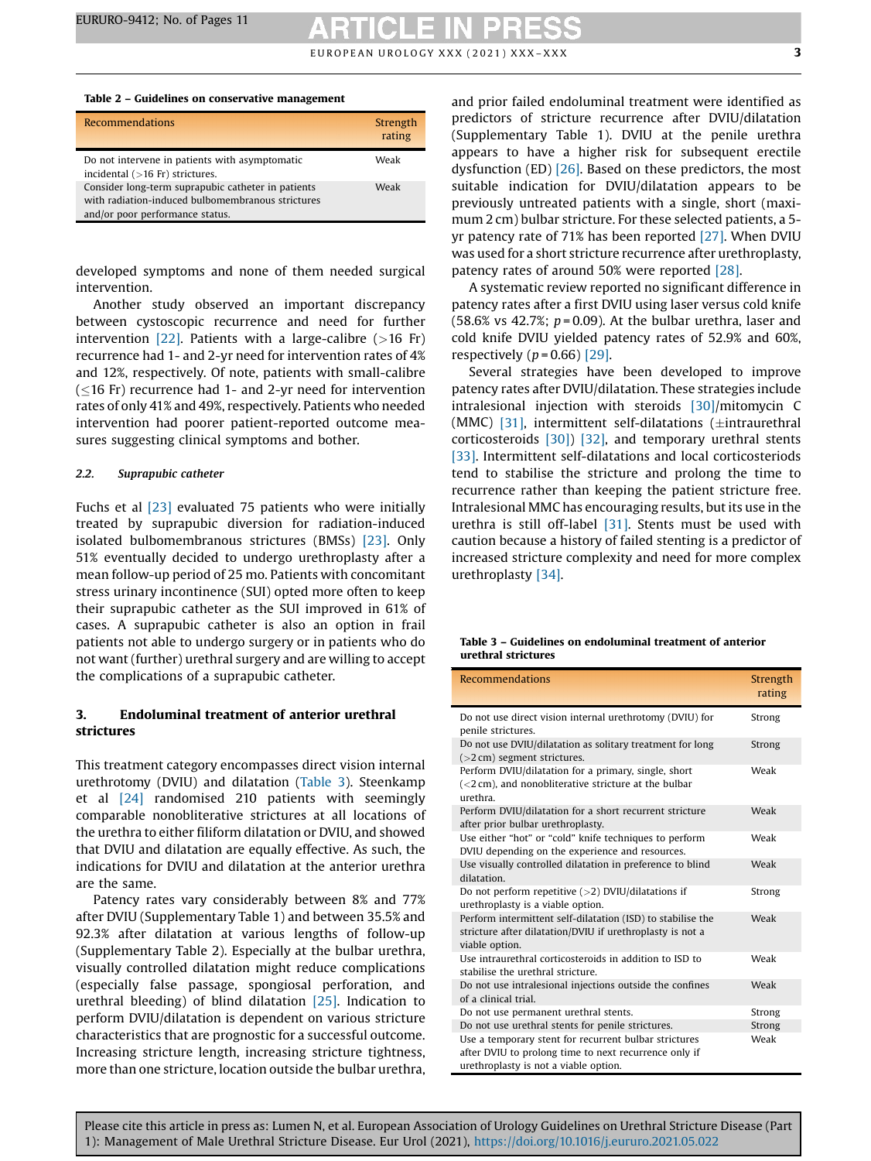$E$ UROPEAN UROLOGY XXX (2021) XXX-XXX  $\overline{\mathbf{3}}$ 

#### <span id="page-2-0"></span>Table 2 – Guidelines on conservative management

| <b>Recommendations</b>                                                                                                                     | Strength<br>rating |
|--------------------------------------------------------------------------------------------------------------------------------------------|--------------------|
| Do not intervene in patients with asymptomatic<br>incidental $($ >16 Fr) strictures.                                                       | Weak               |
| Consider long-term suprapubic catheter in patients<br>with radiation-induced bulbomembranous strictures<br>and/or poor performance status. | Weak               |

developed symptoms and none of them needed surgical intervention.

Another study observed an important discrepancy between cystoscopic recurrence and need for further intervention  $[22]$ . Patients with a large-calibre (>16 Fr) recurrence had 1- and 2-yr need for intervention rates of 4% and 12%, respectively. Of note, patients with small-calibre  $(<$ 16 Fr) recurrence had 1- and 2-yr need for intervention rates of only 41% and 49%, respectively. Patients who needed intervention had poorer patient-reported outcome measures suggesting clinical symptoms and bother.

#### 2.2. Suprapubic catheter

Fuchs et al [\[23\]](#page-8-0) evaluated 75 patients who were initially treated by suprapubic diversion for radiation-induced isolated bulbomembranous strictures (BMSs) [\[23\].](#page-8-0) Only 51% eventually decided to undergo urethroplasty after a mean follow-up period of 25 mo. Patients with concomitant stress urinary incontinence (SUI) opted more often to keep their suprapubic catheter as the SUI improved in 61% of cases. A suprapubic catheter is also an option in frail patients not able to undergo surgery or in patients who do not want (further) urethral surgery and are willing to accept the complications of a suprapubic catheter.

#### 3. Endoluminal treatment of anterior urethral strictures

This treatment category encompasses direct vision internal urethrotomy (DVIU) and dilatation (Table 3). Steenkamp et al [\[24\]](#page-8-0) randomised 210 patients with seemingly comparable nonobliterative strictures at all locations of the urethra to either filiform dilatation or DVIU, and showed that DVIU and dilatation are equally effective. As such, the indications for DVIU and dilatation at the anterior urethra are the same.

Patency rates vary considerably between 8% and 77% after DVIU (Supplementary Table 1) and between 35.5% and 92.3% after dilatation at various lengths of follow-up (Supplementary Table 2). Especially at the bulbar urethra, visually controlled dilatation might reduce complications (especially false passage, spongiosal perforation, and urethral bleeding) of blind dilatation [\[25\].](#page-8-0) Indication to perform DVIU/dilatation is dependent on various stricture characteristics that are prognostic for a successful outcome. Increasing stricture length, increasing stricture tightness, more than one stricture, location outside the bulbar urethra,

and prior failed endoluminal treatment were identified as predictors of stricture recurrence after DVIU/dilatation (Supplementary Table 1). DVIU at the penile urethra appears to have a higher risk for subsequent erectile dysfunction (ED) [\[26\].](#page-8-0) Based on these predictors, the most suitable indication for DVIU/dilatation appears to be previously untreated patients with a single, short (maximum 2 cm) bulbar stricture. For these selected patients, a 5 yr patency rate of 71% has been reported [\[27\]](#page-9-0). When DVIU was used for a short stricture recurrence after urethroplasty, patency rates of around 50% were reported [\[28\].](#page-9-0)

A systematic review reported no significant difference in patency rates after a first DVIU using laser versus cold knife (58.6% vs 42.7%;  $p = 0.09$ ). At the bulbar urethra, laser and cold knife DVIU yielded patency rates of 52.9% and 60%, respectively  $(p = 0.66)$  [\[29\].](#page-9-0)

Several strategies have been developed to improve patency rates after DVIU/dilatation. These strategies include intralesional injection with steroids [\[30\]](#page-9-0)/mitomycin C (MMC) [\[31\]](#page-9-0), intermittent self-dilatations ( $\pm$ intraurethral corticosteroids [\[30\]\)](#page-9-0) [\[32\],](#page-9-0) and temporary urethral stents [\[33\]](#page-9-0). Intermittent self-dilatations and local corticosteriods tend to stabilise the stricture and prolong the time to recurrence rather than keeping the patient stricture free. Intralesional MMC has encouraging results, but its use in the urethra is still off-label [\[31\].](#page-9-0) Stents must be used with caution because a history of failed stenting is a predictor of increased stricture complexity and need for more complex urethroplasty [\[34\]](#page-9-0).

| Table 3 – Guidelines on endoluminal treatment of anterior |  |  |
|-----------------------------------------------------------|--|--|
| urethral strictures                                       |  |  |

| <b>Recommendations</b>                                                                                                                                  | Strength<br>rating |
|---------------------------------------------------------------------------------------------------------------------------------------------------------|--------------------|
| Do not use direct vision internal urethrotomy (DVIU) for<br>penile strictures.                                                                          | Strong             |
| Do not use DVIU/dilatation as solitary treatment for long<br>$(>2 \text{ cm})$ segment strictures.                                                      | Strong             |
| Perform DVIU/dilatation for a primary, single, short<br>$(<$ 2 cm), and nonobliterative stricture at the bulbar<br>urethra.                             | Weak               |
| Perform DVIU/dilatation for a short recurrent stricture<br>after prior bulbar urethroplasty.                                                            | Weak               |
| Use either "hot" or "cold" knife techniques to perform<br>DVIU depending on the experience and resources.                                               | Weak               |
| Use visually controlled dilatation in preference to blind<br>dilatation.                                                                                | Weak               |
| Do not perform repetitive $(>2)$ DVIU/dilatations if<br>urethroplasty is a viable option.                                                               | Strong             |
| Perform intermittent self-dilatation (ISD) to stabilise the<br>stricture after dilatation/DVIU if urethroplasty is not a<br>viable option.              | Weak               |
| Use intraurethral corticosteroids in addition to ISD to<br>stabilise the urethral stricture.                                                            | Weak               |
| Do not use intralesional injections outside the confines<br>of a clinical trial.                                                                        | Weak               |
| Do not use permanent urethral stents.                                                                                                                   | Strong             |
| Do not use urethral stents for penile strictures.                                                                                                       | Strong             |
| Use a temporary stent for recurrent bulbar strictures<br>after DVIU to prolong time to next recurrence only if<br>urethroplasty is not a viable option. | Weak               |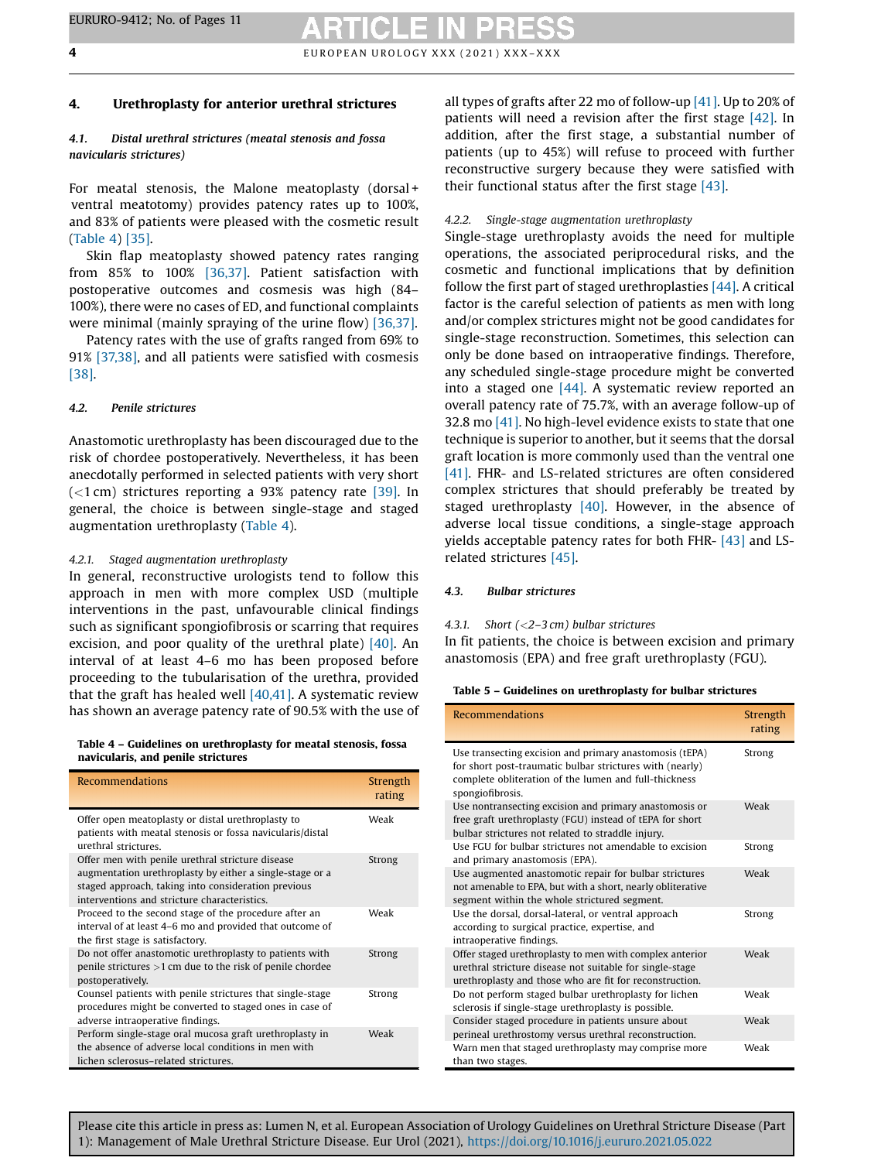### <span id="page-3-0"></span>4. Urethroplasty for anterior urethral strictures

#### 4.1. Distal urethral strictures (meatal stenosis and fossa navicularis strictures)

For meatal stenosis, the Malone meatoplasty (dorsal + ventral meatotomy) provides patency rates up to 100%, and 83% of patients were pleased with the cosmetic result (Table 4) [\[35\].](#page-9-0)

Skin flap meatoplasty showed patency rates ranging from 85% to 100% [\[36,37\].](#page-9-0) Patient satisfaction with postoperative outcomes and cosmesis was high (84– 100%), there were no cases of ED, and functional complaints were minimal (mainly spraying of the urine flow) [\[36,37\].](#page-9-0)

Patency rates with the use of grafts ranged from 69% to 91% [\[37,38\],](#page-9-0) and all patients were satisfied with cosmesis [\[38\].](#page-9-0)

#### 4.2. Penile strictures

Anastomotic urethroplasty has been discouraged due to the risk of chordee postoperatively. Nevertheless, it has been anecdotally performed in selected patients with very short  $(<$ 1 cm) strictures reporting a 93% patency rate [\[39\].](#page-9-0) In general, the choice is between single-stage and staged augmentation urethroplasty (Table 4).

#### 4.2.1. Staged augmentation urethroplasty

In general, reconstructive urologists tend to follow this approach in men with more complex USD (multiple interventions in the past, unfavourable clinical findings such as significant spongiofibrosis or scarring that requires excision, and poor quality of the urethral plate) [\[40\]](#page-9-0). An interval of at least 4–6 mo has been proposed before proceeding to the tubularisation of the urethra, provided that the graft has healed well  $[40,41]$ . A systematic review has shown an average patency rate of 90.5% with the use of

Table 4 – Guidelines on urethroplasty for meatal stenosis, fossa navicularis, and penile strictures

| <b>Recommendations</b>                                                                                                                                                                                              | Strength<br>rating |
|---------------------------------------------------------------------------------------------------------------------------------------------------------------------------------------------------------------------|--------------------|
| Offer open meatoplasty or distal urethroplasty to<br>patients with meatal stenosis or fossa navicularis/distal<br>urethral strictures                                                                               | Weak               |
| Offer men with penile urethral stricture disease<br>augmentation urethroplasty by either a single-stage or a<br>staged approach, taking into consideration previous<br>interventions and stricture characteristics. | Strong             |
| Proceed to the second stage of the procedure after an<br>interval of at least 4–6 mo and provided that outcome of<br>the first stage is satisfactory.                                                               | Weak               |
| Do not offer anastomotic urethroplasty to patients with<br>penile strictures $>1$ cm due to the risk of penile chordee<br>postoperatively.                                                                          | Strong             |
| Counsel patients with penile strictures that single-stage<br>procedures might be converted to staged ones in case of<br>adverse intraoperative findings.                                                            | Strong             |
| Perform single-stage oral mucosa graft urethroplasty in<br>the absence of adverse local conditions in men with<br>lichen sclerosus-related strictures.                                                              | Weak               |

all types of grafts after 22 mo of follow-up [\[41\].](#page-9-0) Up to 20% of patients will need a revision after the first stage [\[42\].](#page-9-0) In addition, after the first stage, a substantial number of patients (up to 45%) will refuse to proceed with further reconstructive surgery because they were satisfied with their functional status after the first stage [\[43\]](#page-9-0).

### 4.2.2. Single-stage augmentation urethroplasty

Single-stage urethroplasty avoids the need for multiple operations, the associated periprocedural risks, and the cosmetic and functional implications that by definition follow the first part of staged urethroplasties [\[44\].](#page-9-0) A critical factor is the careful selection of patients as men with long and/or complex strictures might not be good candidates for single-stage reconstruction. Sometimes, this selection can only be done based on intraoperative findings. Therefore, any scheduled single-stage procedure might be converted into a staged one [\[44\]](#page-9-0). A systematic review reported an overall patency rate of 75.7%, with an average follow-up of 32.8 mo [\[41\].](#page-9-0) No high-level evidence exists to state that one technique is superior to another, but it seems that the dorsal graft location is more commonly used than the ventral one [\[41\]](#page-9-0). FHR- and LS-related strictures are often considered complex strictures that should preferably be treated by staged urethroplasty [\[40\].](#page-9-0) However, in the absence of adverse local tissue conditions, a single-stage approach yields acceptable patency rates for both FHR- [\[43\]](#page-9-0) and LSrelated strictures [\[45\]](#page-9-0).

#### 4.3. Bulbar strictures

#### 4.3.1. Short (<2–3 cm) bulbar strictures

In fit patients, the choice is between excision and primary anastomosis (EPA) and free graft urethroplasty (FGU).

| Table 5 – Guidelines on urethroplasty for bulbar strictures |  |  |
|-------------------------------------------------------------|--|--|
|-------------------------------------------------------------|--|--|

| <b>Recommendations</b>                                                                                                                                                                           | Strength<br>rating |
|--------------------------------------------------------------------------------------------------------------------------------------------------------------------------------------------------|--------------------|
| Use transecting excision and primary anastomosis (tEPA)<br>for short post-traumatic bulbar strictures with (nearly)<br>complete obliteration of the lumen and full-thickness<br>spongiofibrosis. | Strong             |
| Use nontransecting excision and primary anastomosis or<br>free graft urethroplasty (FGU) instead of tEPA for short<br>bulbar strictures not related to straddle injury.                          | Weak               |
| Use FGU for bulbar strictures not amendable to excision<br>and primary anastomosis (EPA).                                                                                                        | Strong             |
| Use augmented anastomotic repair for bulbar strictures<br>not amenable to EPA, but with a short, nearly obliterative<br>segment within the whole strictured segment.                             | Weak               |
| Use the dorsal, dorsal-lateral, or ventral approach<br>according to surgical practice, expertise, and<br>intraoperative findings.                                                                | Strong             |
| Offer staged urethroplasty to men with complex anterior<br>urethral stricture disease not suitable for single-stage<br>urethroplasty and those who are fit for reconstruction.                   | Weak               |
| Do not perform staged bulbar urethroplasty for lichen<br>sclerosis if single-stage urethroplasty is possible.                                                                                    | Weak               |
| Consider staged procedure in patients unsure about<br>perineal urethrostomy versus urethral reconstruction.                                                                                      | Weak               |
| Warn men that staged urethroplasty may comprise more<br>than two stages.                                                                                                                         | Weak               |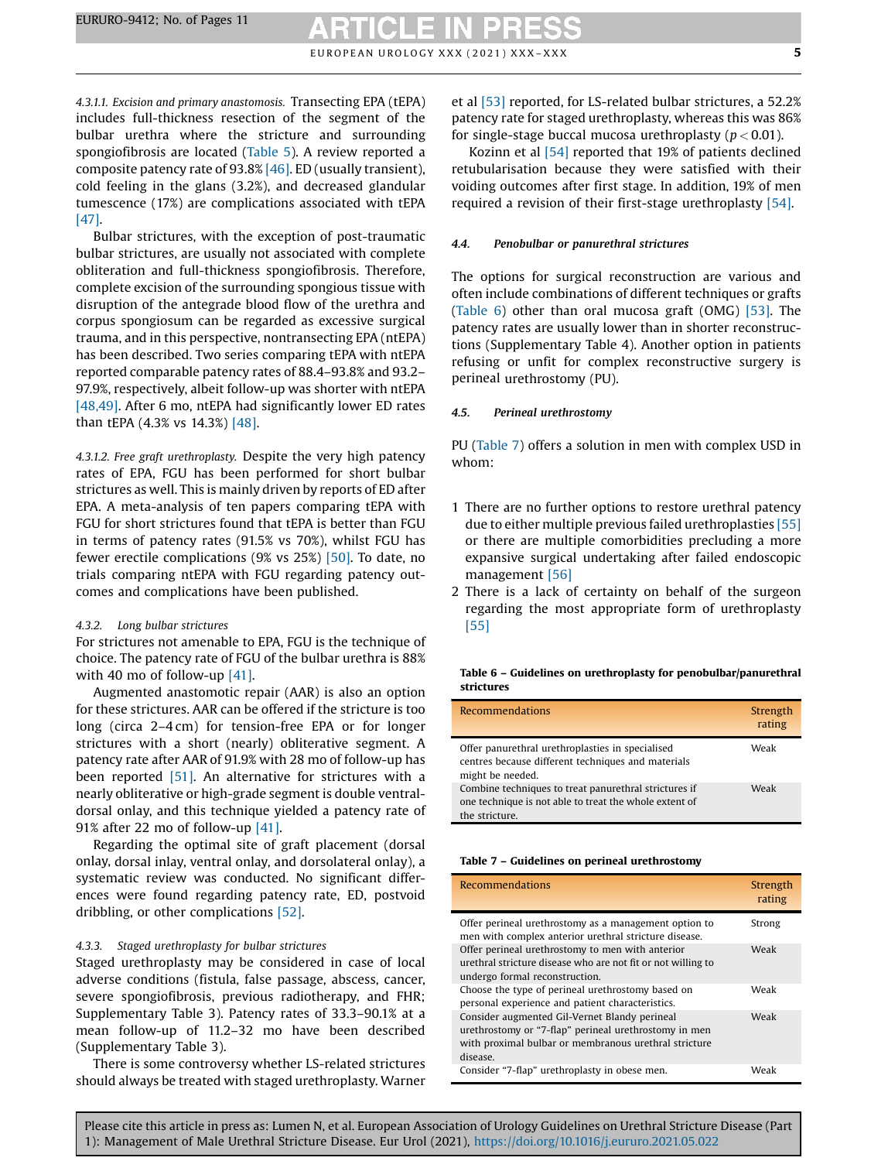4.3.1.1. Excision and primary anastomosis. Transecting EPA (tEPA) includes full-thickness resection of the segment of the bulbar urethra where the stricture and surrounding spongiofibrosis are located [\(Table](#page-3-0) 5). A review reported a composite patency rate of 93.8% [\[46\]](#page-9-0). ED (usually transient), cold feeling in the glans (3.2%), and decreased glandular tumescence (17%) are complications associated with tEPA [\[47\]](#page-9-0).

Bulbar strictures, with the exception of post-traumatic bulbar strictures, are usually not associated with complete obliteration and full-thickness spongiofibrosis. Therefore, complete excision of the surrounding spongious tissue with disruption of the antegrade blood flow of the urethra and corpus spongiosum can be regarded as excessive surgical trauma, and in this perspective, nontransecting EPA (ntEPA) has been described. Two series comparing tEPA with ntEPA reported comparable patency rates of 88.4–93.8% and 93.2– 97.9%, respectively, albeit follow-up was shorter with ntEPA [\[48,49\].](#page-9-0) After 6 mo, ntEPA had significantly lower ED rates than tEPA (4.3% vs 14.3%) [\[48\]](#page-9-0).

4.3.1.2. Free graft urethroplasty. Despite the very high patency rates of EPA, FGU has been performed for short bulbar strictures as well. This is mainly driven by reports of ED after EPA. A meta-analysis of ten papers comparing tEPA with FGU for short strictures found that tEPA is better than FGU in terms of patency rates (91.5% vs 70%), whilst FGU has fewer erectile complications (9% vs 25%) [\[50\].](#page-9-0) To date, no trials comparing ntEPA with FGU regarding patency outcomes and complications have been published.

#### 4.3.2. Long bulbar strictures

For strictures not amenable to EPA, FGU is the technique of choice. The patency rate of FGU of the bulbar urethra is 88% with 40 mo of follow-up [\[41\]](#page-9-0).

Augmented anastomotic repair (AAR) is also an option for these strictures. AAR can be offered if the stricture is too long (circa 2–4 cm) for tension-free EPA or for longer strictures with a short (nearly) obliterative segment. A patency rate after AAR of 91.9% with 28 mo of follow-up has been reported [\[51\]](#page-9-0). An alternative for strictures with a nearly obliterative or high-grade segment is double ventraldorsal onlay, and this technique yielded a patency rate of 91% after 22 mo of follow-up [\[41\]](#page-9-0).

Regarding the optimal site of graft placement (dorsal onlay, dorsal inlay, ventral onlay, and dorsolateral onlay), a systematic review was conducted. No significant differences were found regarding patency rate, ED, postvoid dribbling, or other complications [\[52\]](#page-9-0).

#### 4.3.3. Staged urethroplasty for bulbar strictures

Staged urethroplasty may be considered in case of local adverse conditions (fistula, false passage, abscess, cancer, severe spongiofibrosis, previous radiotherapy, and FHR; Supplementary Table 3). Patency rates of 33.3–90.1% at a mean follow-up of 11.2–32 mo have been described (Supplementary Table 3).

There is some controversy whether LS-related strictures should always be treated with staged urethroplasty. Warner et al [\[53\]](#page-9-0) reported, for LS-related bulbar strictures, a 52.2% patency rate for staged urethroplasty, whereas this was 86% for single-stage buccal mucosa urethroplasty ( $p < 0.01$ ).

Kozinn et al [\[54\]](#page-9-0) reported that 19% of patients declined retubularisation because they were satisfied with their voiding outcomes after first stage. In addition, 19% of men required a revision of their first-stage urethroplasty [\[54\]](#page-9-0).

#### 4.4. Penobulbar or panurethral strictures

The options for surgical reconstruction are various and often include combinations of different techniques or grafts (Table 6) other than oral mucosa graft (OMG) [\[53\].](#page-9-0) The patency rates are usually lower than in shorter reconstructions (Supplementary Table 4). Another option in patients refusing or unfit for complex reconstructive surgery is perineal urethrostomy (PU).

#### 4.5. Perineal urethrostomy

PU (Table 7) offers a solution in men with complex USD in whom:

- 1 There are no further options to restore urethral patency due to either multiple previous failed urethroplasties [\[55\]](#page-9-0) or there are multiple comorbidities precluding a more expansive surgical undertaking after failed endoscopic management [\[56\]](#page-9-0)
- 2 There is a lack of certainty on behalf of the surgeon regarding the most appropriate form of urethroplasty [\[55\]](#page-9-0)

#### Table 6 – Guidelines on urethroplasty for penobulbar/panurethral strictures

| <b>Recommendations</b>                                                                                                            | Strength<br>rating |
|-----------------------------------------------------------------------------------------------------------------------------------|--------------------|
| Offer panurethral urethroplasties in specialised<br>centres because different techniques and materials<br>might be needed.        | Weak               |
| Combine techniques to treat panurethral strictures if<br>one technique is not able to treat the whole extent of<br>the stricture. | Weak               |

#### Table 7 – Guidelines on perineal urethrostomy

| <b>Recommendations</b>                                                                                                                                                      | Strength<br>rating |
|-----------------------------------------------------------------------------------------------------------------------------------------------------------------------------|--------------------|
| Offer perineal urethrostomy as a management option to<br>men with complex anterior urethral stricture disease.                                                              | Strong             |
| Offer perineal urethrostomy to men with anterior<br>urethral stricture disease who are not fit or not willing to<br>undergo formal reconstruction.                          | Weak               |
| Choose the type of perineal urethrostomy based on<br>personal experience and patient characteristics.                                                                       | Weak               |
| Consider augmented Gil-Vernet Blandy perineal<br>urethrostomy or "7-flap" perineal urethrostomy in men<br>with proximal bulbar or membranous urethral stricture<br>disease. | Weak               |
| Consider "7-flap" urethroplasty in obese men.                                                                                                                               | Weak               |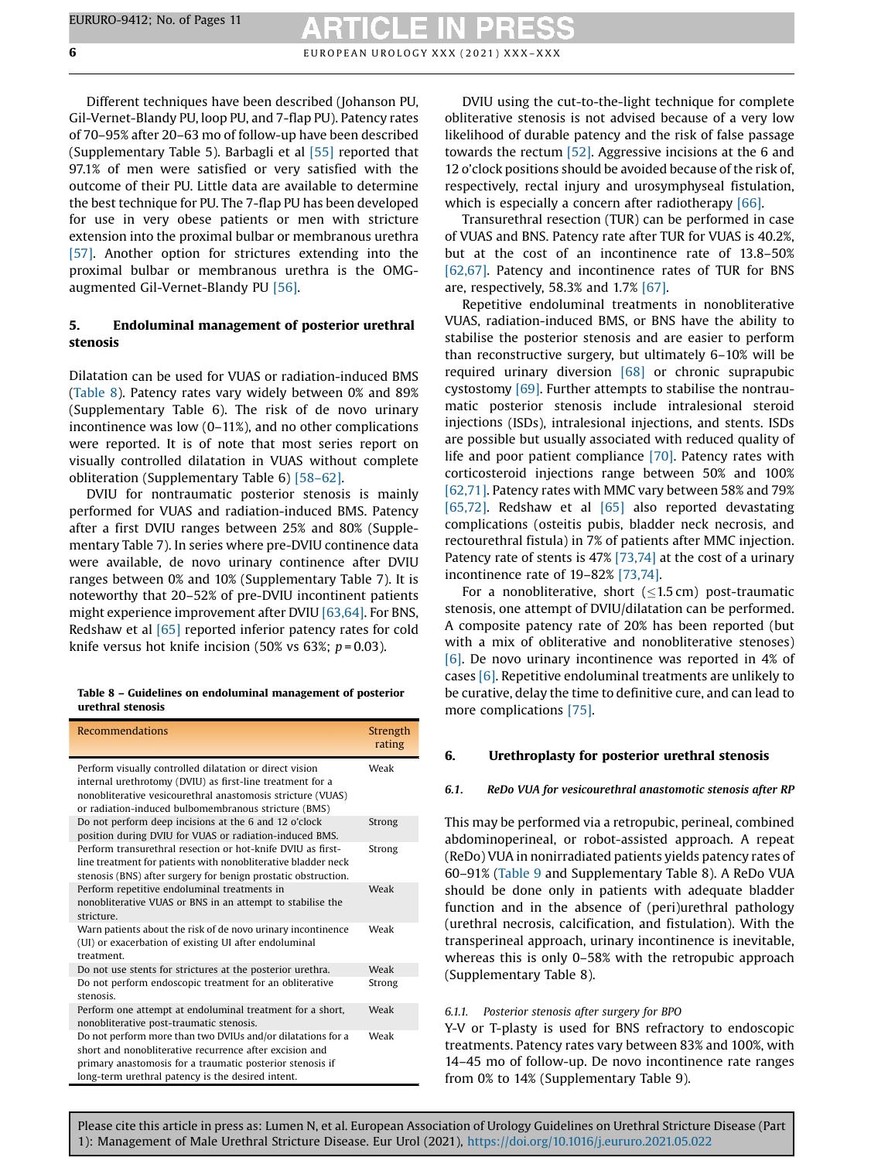Different techniques have been described (Johanson PU, Gil-Vernet-Blandy PU, loop PU, and 7-flap PU). Patency rates of 70–95% after 20–63 mo of follow-up have been described (Supplementary Table 5). Barbagli et al [\[55\]](#page-9-0) reported that 97.1% of men were satisfied or very satisfied with the outcome of their PU. Little data are available to determine the best technique for PU. The 7-flap PU has been developed for use in very obese patients or men with stricture extension into the proximal bulbar or membranous urethra [\[57\].](#page-9-0) Another option for strictures extending into the proximal bulbar or membranous urethra is the OMGaugmented Gil-Vernet-Blandy PU [\[56\]](#page-9-0).

#### 5. Endoluminal management of posterior urethral stenosis

Dilatation can be used for VUAS or radiation-induced BMS (Table 8). Patency rates vary widely between 0% and 89% (Supplementary Table 6). The risk of de novo urinary incontinence was low (0–11%), and no other complications were reported. It is of note that most series report on visually controlled dilatation in VUAS without complete obliteration (Supplementary Table 6) [58–[62\].](#page-9-0)

DVIU for nontraumatic posterior stenosis is mainly performed for VUAS and radiation-induced BMS. Patency after a first DVIU ranges between 25% and 80% (Supplementary Table 7). In series where pre-DVIU continence data were available, de novo urinary continence after DVIU ranges between 0% and 10% (Supplementary Table 7). It is noteworthy that 20–52% of pre-DVIU incontinent patients might experience improvement after DVIU [\[63,64\]](#page-9-0). For BNS, Redshaw et al [\[65\]](#page-9-0) reported inferior patency rates for cold knife versus hot knife incision (50% vs 63%;  $p = 0.03$ ).

Table 8 – Guidelines on endoluminal management of posterior urethral stenosis

| <b>Recommendations</b>                                                                                                                                                                                                                      | Strength<br>rating |
|---------------------------------------------------------------------------------------------------------------------------------------------------------------------------------------------------------------------------------------------|--------------------|
| Perform visually controlled dilatation or direct vision<br>internal urethrotomy (DVIU) as first-line treatment for a<br>nonobliterative vesicourethral anastomosis stricture (VUAS)<br>or radiation-induced bulbomembranous stricture (BMS) | Weak               |
| Do not perform deep incisions at the 6 and 12 o'clock<br>position during DVIU for VUAS or radiation-induced BMS.                                                                                                                            | Strong             |
| Perform transurethral resection or hot-knife DVIU as first-<br>line treatment for patients with nonobliterative bladder neck<br>stenosis (BNS) after surgery for benign prostatic obstruction.                                              | Strong             |
| Perform repetitive endoluminal treatments in<br>nonobliterative VUAS or BNS in an attempt to stabilise the<br>stricture                                                                                                                     | Weak               |
| Warn patients about the risk of de novo urinary incontinence<br>(UI) or exacerbation of existing UI after endoluminal<br>treatment                                                                                                          | Weak               |
| Do not use stents for strictures at the posterior urethra.                                                                                                                                                                                  | Weak               |
| Do not perform endoscopic treatment for an obliterative<br>stenosis                                                                                                                                                                         | Strong             |
| Perform one attempt at endoluminal treatment for a short,<br>nonobliterative post-traumatic stenosis.                                                                                                                                       | Weak               |
| Do not perform more than two DVIUs and/or dilatations for a<br>short and nonobliterative recurrence after excision and<br>primary anastomosis for a traumatic posterior stenosis if<br>long-term urethral patency is the desired intent.    | Weak               |

DVIU using the cut-to-the-light technique for complete obliterative stenosis is not advised because of a very low likelihood of durable patency and the risk of false passage towards the rectum [\[52\]](#page-9-0). Aggressive incisions at the 6 and 12 o'clock positions should be avoided because of the risk of, respectively, rectal injury and urosymphyseal fistulation, which is especially a concern after radiotherapy [\[66\].](#page-10-0)

Transurethral resection (TUR) can be performed in case of VUAS and BNS. Patency rate after TUR for VUAS is 40.2%, but at the cost of an incontinence rate of 13.8–50% [\[62,67\]](#page-9-0). Patency and incontinence rates of TUR for BNS are, respectively, 58.3% and 1.7% [\[67\].](#page-10-0)

Repetitive endoluminal treatments in nonobliterative VUAS, radiation-induced BMS, or BNS have the ability to stabilise the posterior stenosis and are easier to perform than reconstructive surgery, but ultimately 6–10% will be required urinary diversion [\[68\]](#page-10-0) or chronic suprapubic cystostomy [\[69\]](#page-10-0). Further attempts to stabilise the nontraumatic posterior stenosis include intralesional steroid injections (ISDs), intralesional injections, and stents. ISDs are possible but usually associated with reduced quality of life and poor patient compliance [\[70\].](#page-10-0) Patency rates with corticosteroid injections range between 50% and 100% [\[62,71\].](#page-9-0) Patency rates with MMC vary between 58% and 79% [\[65,72\].](#page-9-0) Redshaw et al [\[65\]](#page-9-0) also reported devastating complications (osteitis pubis, bladder neck necrosis, and rectourethral fistula) in 7% of patients after MMC injection. Patency rate of stents is 47% [\[73,74\]](#page-10-0) at the cost of a urinary incontinence rate of 19–82% [\[73,74\].](#page-10-0)

For a nonobliterative, short  $(1.5 \text{ cm})$  post-traumatic stenosis, one attempt of DVIU/dilatation can be performed. A composite patency rate of 20% has been reported (but with a mix of obliterative and nonobliterative stenoses) [\[6\].](#page-8-0) De novo urinary incontinence was reported in 4% of cases [\[6\].](#page-8-0) Repetitive endoluminal treatments are unlikely to be curative, delay the time to definitive cure, and can lead to more complications [\[75\].](#page-10-0)

#### 6. Urethroplasty for posterior urethral stenosis

#### 6.1. ReDo VUA for vesicourethral anastomotic stenosis after RP

This may be performed via a retropubic, perineal, combined abdominoperineal, or robot-assisted approach. A repeat (ReDo) VUA in nonirradiated patients yields patency rates of 60–91% [\(Table](#page-6-0) 9 and Supplementary Table 8). A ReDo VUA should be done only in patients with adequate bladder function and in the absence of (peri)urethral pathology (urethral necrosis, calcification, and fistulation). With the transperineal approach, urinary incontinence is inevitable, whereas this is only 0–58% with the retropubic approach (Supplementary Table 8).

#### 6.1.1. Posterior stenosis after surgery for BPO

Y-V or T-plasty is used for BNS refractory to endoscopic treatments. Patency rates vary between 83% and 100%, with 14–45 mo of follow-up. De novo incontinence rate ranges from 0% to 14% (Supplementary Table 9).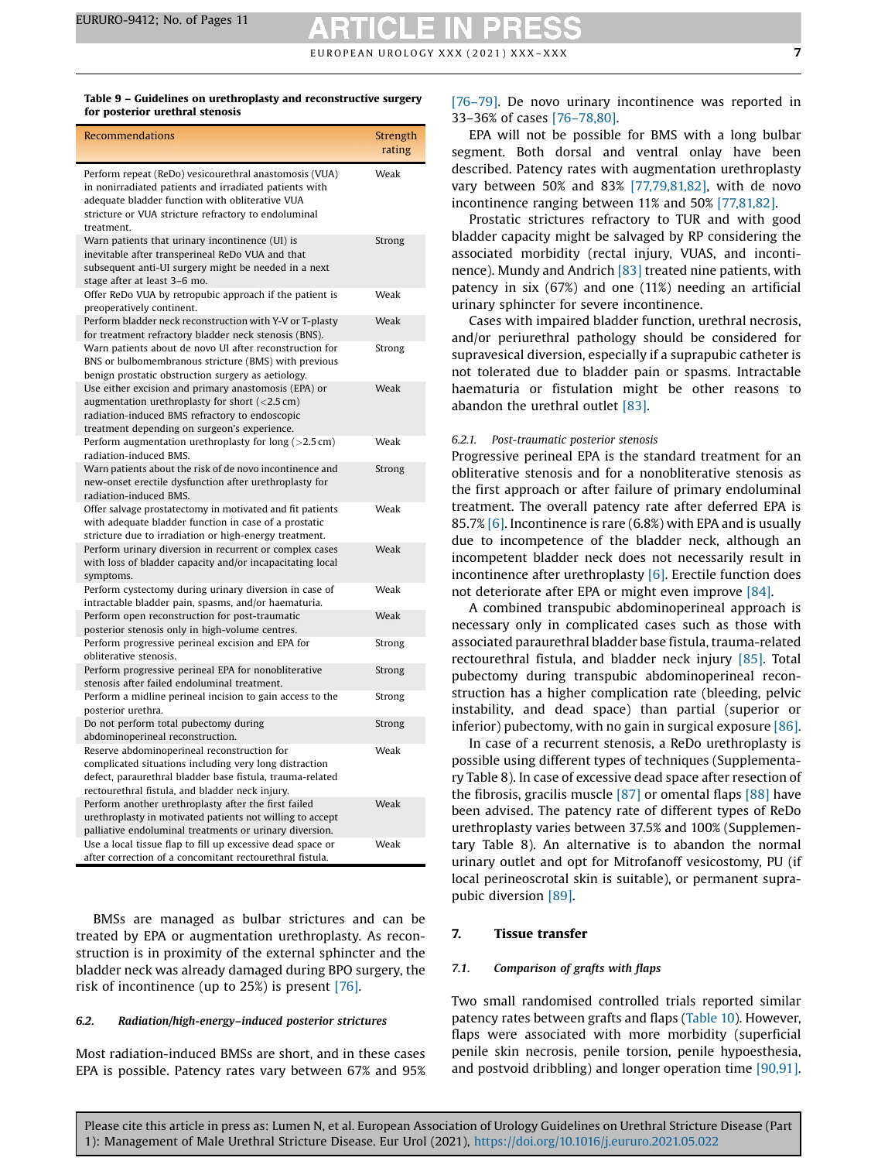#### <span id="page-6-0"></span>Table 9 – Guidelines on urethroplasty and reconstructive surgery for posterior urethral stenosis

| <b>Recommendations</b>                                                                                                                                                                                                                    | Strength<br>rating |
|-------------------------------------------------------------------------------------------------------------------------------------------------------------------------------------------------------------------------------------------|--------------------|
| Perform repeat (ReDo) vesicourethral anastomosis (VUA)<br>in nonirradiated patients and irradiated patients with<br>adequate bladder function with obliterative VUA<br>stricture or VUA stricture refractory to endoluminal<br>treatment. | Weak               |
| Warn patients that urinary incontinence (UI) is<br>inevitable after transperineal ReDo VUA and that<br>subsequent anti-UI surgery might be needed in a next<br>stage after at least 3-6 mo.                                               | Strong             |
| Offer ReDo VUA by retropubic approach if the patient is<br>preoperatively continent.                                                                                                                                                      | Weak               |
| Perform bladder neck reconstruction with Y-V or T-plasty<br>for treatment refractory bladder neck stenosis (BNS).                                                                                                                         | Weak               |
| Warn patients about de novo UI after reconstruction for<br>BNS or bulbomembranous stricture (BMS) with previous<br>benign prostatic obstruction surgery as aetiology.                                                                     | Strong             |
| Use either excision and primary anastomosis (EPA) or<br>augmentation urethroplasty for short $(<2.5$ cm)<br>radiation-induced BMS refractory to endoscopic<br>treatment depending on surgeon's experience.                                | Weak               |
| Perform augmentation urethroplasty for long $(>2.5 \text{ cm})$<br>radiation-induced BMS.                                                                                                                                                 | Weak               |
| Warn patients about the risk of de novo incontinence and<br>new-onset erectile dysfunction after urethroplasty for<br>radiation-induced BMS.                                                                                              | Strong             |
| Offer salvage prostatectomy in motivated and fit patients<br>with adequate bladder function in case of a prostatic<br>stricture due to irradiation or high-energy treatment.                                                              | Weak               |
| Perform urinary diversion in recurrent or complex cases<br>with loss of bladder capacity and/or incapacitating local<br>symptoms.                                                                                                         | Weak               |
| Perform cystectomy during urinary diversion in case of<br>intractable bladder pain, spasms, and/or haematuria.                                                                                                                            | Weak               |
| Perform open reconstruction for post-traumatic<br>posterior stenosis only in high-volume centres.                                                                                                                                         | Weak               |
| Perform progressive perineal excision and EPA for<br>obliterative stenosis.                                                                                                                                                               | Strong             |
| Perform progressive perineal EPA for nonobliterative<br>stenosis after failed endoluminal treatment.                                                                                                                                      | Strong             |
| Perform a midline perineal incision to gain access to the<br>posterior urethra.                                                                                                                                                           | Strong             |
| Do not perform total pubectomy during<br>abdominoperineal reconstruction.                                                                                                                                                                 | Strong             |
| Reserve abdominoperineal reconstruction for<br>complicated situations including very long distraction<br>defect, paraurethral bladder base fistula, trauma-related<br>rectourethral fistula, and bladder neck injury.                     | Weak               |
| Perform another urethroplasty after the first failed<br>urethroplasty in motivated patients not willing to accept<br>palliative endoluminal treatments or urinary diversion.                                                              | Weak               |
| Use a local tissue flap to fill up excessive dead space or<br>after correction of a concomitant rectourethral fistula.                                                                                                                    | Weak               |

BMSs are managed as bulbar strictures and can be treated by EPA or augmentation urethroplasty. As reconstruction is in proximity of the external sphincter and the bladder neck was already damaged during BPO surgery, the risk of incontinence (up to 25%) is present [\[76\]](#page-10-0).

#### 6.2. Radiation/high-energy–induced posterior strictures

Most radiation-induced BMSs are short, and in these cases EPA is possible. Patency rates vary between 67% and 95% [76–[79\]](#page-10-0). De novo urinary incontinence was reported in 33–36% of cases [76–[78,80\].](#page-10-0)

EPA will not be possible for BMS with a long bulbar segment. Both dorsal and ventral onlay have been described. Patency rates with augmentation urethroplasty vary between 50% and 83% [\[77,79,81,82\]](#page-10-0), with de novo incontinence ranging between 11% and 50% [\[77,81,82\]](#page-10-0).

Prostatic strictures refractory to TUR and with good bladder capacity might be salvaged by RP considering the associated morbidity (rectal injury, VUAS, and incontinence). Mundy and Andrich [\[83\]](#page-10-0) treated nine patients, with patency in six (67%) and one (11%) needing an artificial urinary sphincter for severe incontinence.

Cases with impaired bladder function, urethral necrosis, and/or periurethral pathology should be considered for supravesical diversion, especially if a suprapubic catheter is not tolerated due to bladder pain or spasms. Intractable haematuria or fistulation might be other reasons to abandon the urethral outlet [\[83\]](#page-10-0).

#### 6.2.1. Post-traumatic posterior stenosis

Progressive perineal EPA is the standard treatment for an obliterative stenosis and for a nonobliterative stenosis as the first approach or after failure of primary endoluminal treatment. The overall patency rate after deferred EPA is 85.7% [\[6\]](#page-8-0). Incontinence is rare (6.8%) with EPA and is usually due to incompetence of the bladder neck, although an incompetent bladder neck does not necessarily result in incontinence after urethroplasty [\[6\].](#page-8-0) Erectile function does not deteriorate after EPA or might even improve [\[84\]](#page-10-0).

A combined transpubic abdominoperineal approach is necessary only in complicated cases such as those with associated paraurethral bladder base fistula, trauma-related rectourethral fistula, and bladder neck injury [\[85\].](#page-10-0) Total pubectomy during transpubic abdominoperineal reconstruction has a higher complication rate (bleeding, pelvic instability, and dead space) than partial (superior or inferior) pubectomy, with no gain in surgical exposure [\[86\].](#page-10-0)

In case of a recurrent stenosis, a ReDo urethroplasty is possible using different types of techniques (Supplementary Table 8). In case of excessive dead space after resection of the fibrosis, gracilis muscle [\[87\]](#page-10-0) or omental flaps [\[88\]](#page-10-0) have been advised. The patency rate of different types of ReDo urethroplasty varies between 37.5% and 100% (Supplementary Table 8). An alternative is to abandon the normal urinary outlet and opt for Mitrofanoff vesicostomy, PU (if local perineoscrotal skin is suitable), or permanent suprapubic diversion [\[89\]](#page-10-0).

#### 7. Tissue transfer

#### 7.1. Comparison of grafts with flaps

Two small randomised controlled trials reported similar patency rates between grafts and flaps [\(Table](#page-7-0) 10). However, flaps were associated with more morbidity (superficial penile skin necrosis, penile torsion, penile hypoesthesia, and postvoid dribbling) and longer operation time [\[90,91\].](#page-10-0)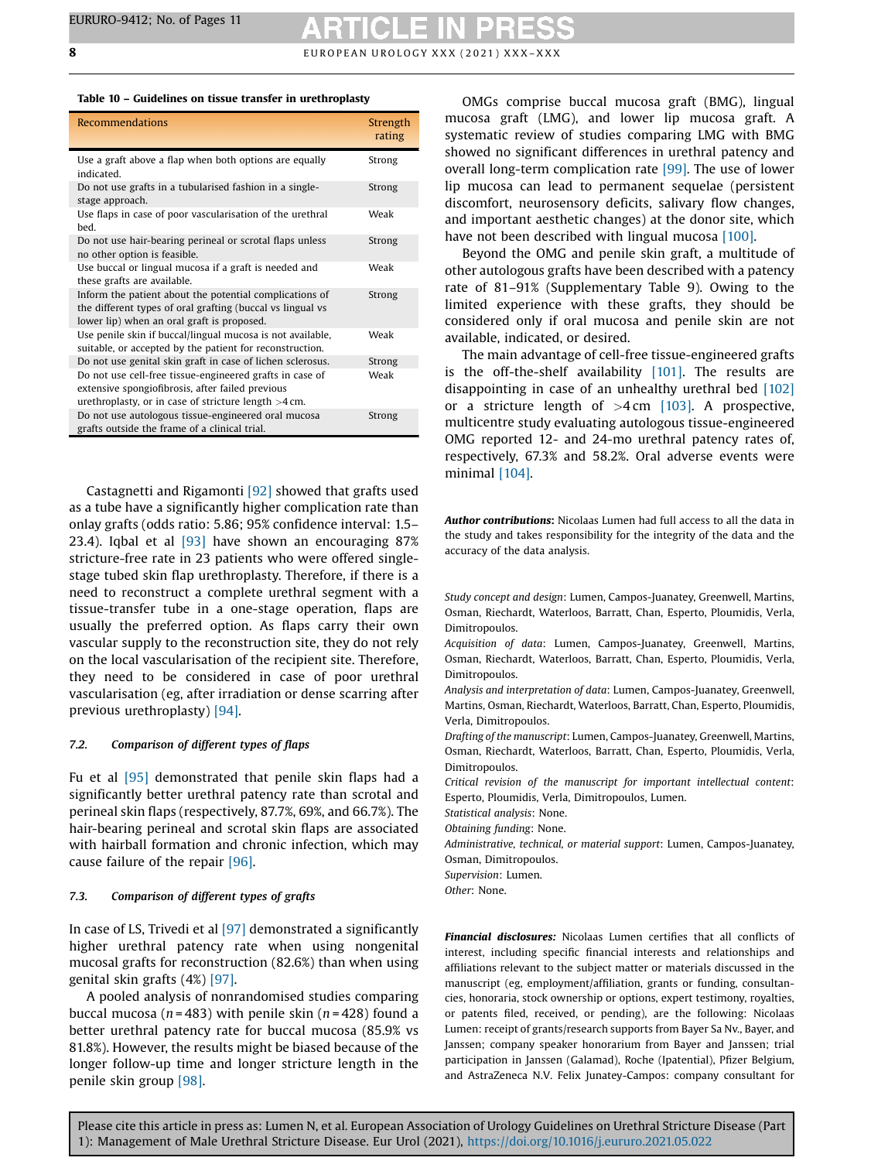<span id="page-7-0"></span>

| Table 10 – Guidelines on tissue transfer in urethroplasty |  |  |  |  |  |  |  |  |
|-----------------------------------------------------------|--|--|--|--|--|--|--|--|
|-----------------------------------------------------------|--|--|--|--|--|--|--|--|

| <b>Recommendations</b>                                                                                                                                                 | Strength<br>rating |
|------------------------------------------------------------------------------------------------------------------------------------------------------------------------|--------------------|
| Use a graft above a flap when both options are equally<br>indicated.                                                                                                   | Strong             |
| Do not use grafts in a tubularised fashion in a single-<br>stage approach.                                                                                             | Strong             |
| Use flaps in case of poor vascularisation of the urethral<br>bed.                                                                                                      | Weak               |
| Do not use hair-bearing perineal or scrotal flaps unless<br>no other option is feasible.                                                                               | Strong             |
| Use buccal or lingual mucosa if a graft is needed and<br>these grafts are available.                                                                                   | Weak               |
| Inform the patient about the potential complications of<br>the different types of oral grafting (buccal vs lingual vs<br>lower lip) when an oral graft is proposed.    | Strong             |
| Use penile skin if buccal/lingual mucosa is not available,<br>suitable, or accepted by the patient for reconstruction.                                                 | Weak               |
| Do not use genital skin graft in case of lichen sclerosus.                                                                                                             | Strong             |
| Do not use cell-free tissue-engineered grafts in case of<br>extensive spongiofibrosis, after failed previous<br>urethroplasty, or in case of stricture length $>4$ cm. | Weak               |
| Do not use autologous tissue-engineered oral mucosa<br>grafts outside the frame of a clinical trial.                                                                   | Strong             |

Castagnetti and Rigamonti [\[92\]](#page-10-0) showed that grafts used as a tube have a significantly higher complication rate than onlay grafts (odds ratio: 5.86; 95% confidence interval: 1.5– 23.4). Iqbal et al [\[93\]](#page-10-0) have shown an encouraging 87% stricture-free rate in 23 patients who were offered singlestage tubed skin flap urethroplasty. Therefore, if there is a need to reconstruct a complete urethral segment with a tissue-transfer tube in a one-stage operation, flaps are usually the preferred option. As flaps carry their own vascular supply to the reconstruction site, they do not rely on the local vascularisation of the recipient site. Therefore, they need to be considered in case of poor urethral vascularisation (eg, after irradiation or dense scarring after previous urethroplasty) [\[94\]](#page-10-0).

#### 7.2. Comparison of different types of flaps

Fu et al [\[95\]](#page-10-0) demonstrated that penile skin flaps had a significantly better urethral patency rate than scrotal and perineal skin flaps (respectively, 87.7%, 69%, and 66.7%). The hair-bearing perineal and scrotal skin flaps are associated with hairball formation and chronic infection, which may cause failure of the repair [\[96\].](#page-10-0)

#### 7.3. Comparison of different types of grafts

In case of LS, Trivedi et al [\[97\]](#page-10-0) demonstrated a significantly higher urethral patency rate when using nongenital mucosal grafts for reconstruction (82.6%) than when using genital skin grafts (4%) [\[97\]](#page-10-0).

A pooled analysis of nonrandomised studies comparing buccal mucosa ( $n = 483$ ) with penile skin ( $n = 428$ ) found a better urethral patency rate for buccal mucosa (85.9% vs 81.8%). However, the results might be biased because of the longer follow-up time and longer stricture length in the penile skin group [\[98\]](#page-10-0).

OMGs comprise buccal mucosa graft (BMG), lingual mucosa graft (LMG), and lower lip mucosa graft. A systematic review of studies comparing LMG with BMG showed no significant differences in urethral patency and overall long-term complication rate [\[99\].](#page-10-0) The use of lower lip mucosa can lead to permanent sequelae (persistent discomfort, neurosensory deficits, salivary flow changes, and important aesthetic changes) at the donor site, which have not been described with lingual mucosa [\[100\].](#page-10-0)

Beyond the OMG and penile skin graft, a multitude of other autologous grafts have been described with a patency rate of 81–91% (Supplementary Table 9). Owing to the limited experience with these grafts, they should be considered only if oral mucosa and penile skin are not available, indicated, or desired.

The main advantage of cell-free tissue-engineered grafts is the off-the-shelf availability [\[101\].](#page-10-0) The results are disappointing in case of an unhealthy urethral bed [\[102\]](#page-10-0) or a stricture length of  $>4$  cm [\[103\].](#page-10-0) A prospective, multicentre study evaluating autologous tissue-engineered OMG reported 12- and 24-mo urethral patency rates of, respectively, 67.3% and 58.2%. Oral adverse events were minimal [\[104\].](#page-10-0)

Author contributions: Nicolaas Lumen had full access to all the data in the study and takes responsibility for the integrity of the data and the accuracy of the data analysis.

Study concept and design: Lumen, Campos-Juanatey, Greenwell, Martins, Osman, Riechardt, Waterloos, Barratt, Chan, Esperto, Ploumidis, Verla, Dimitropoulos.

Acquisition of data: Lumen, Campos-Juanatey, Greenwell, Martins, Osman, Riechardt, Waterloos, Barratt, Chan, Esperto, Ploumidis, Verla, Dimitropoulos.

Analysis and interpretation of data: Lumen, Campos-Juanatey, Greenwell, Martins, Osman, Riechardt, Waterloos, Barratt, Chan, Esperto, Ploumidis, Verla, Dimitropoulos.

Drafting of the manuscript: Lumen, Campos-Juanatey, Greenwell, Martins, Osman, Riechardt, Waterloos, Barratt, Chan, Esperto, Ploumidis, Verla, Dimitropoulos.

Critical revision of the manuscript for important intellectual content: Esperto, Ploumidis, Verla, Dimitropoulos, Lumen.

Statistical analysis: None.

Obtaining funding: None.

Administrative, technical, or material support: Lumen, Campos-Juanatey, Osman, Dimitropoulos.

Supervision: Lumen.

Other: None.

Financial disclosures: Nicolaas Lumen certifies that all conflicts of interest, including specific financial interests and relationships and affiliations relevant to the subject matter or materials discussed in the manuscript (eg, employment/affiliation, grants or funding, consultancies, honoraria, stock ownership or options, expert testimony, royalties, or patents filed, received, or pending), are the following: Nicolaas Lumen: receipt of grants/research supports from Bayer Sa Nv., Bayer, and Janssen; company speaker honorarium from Bayer and Janssen; trial participation in Janssen (Galamad), Roche (Ipatential), Pfizer Belgium, and AstraZeneca N.V. Felix Junatey-Campos: company consultant for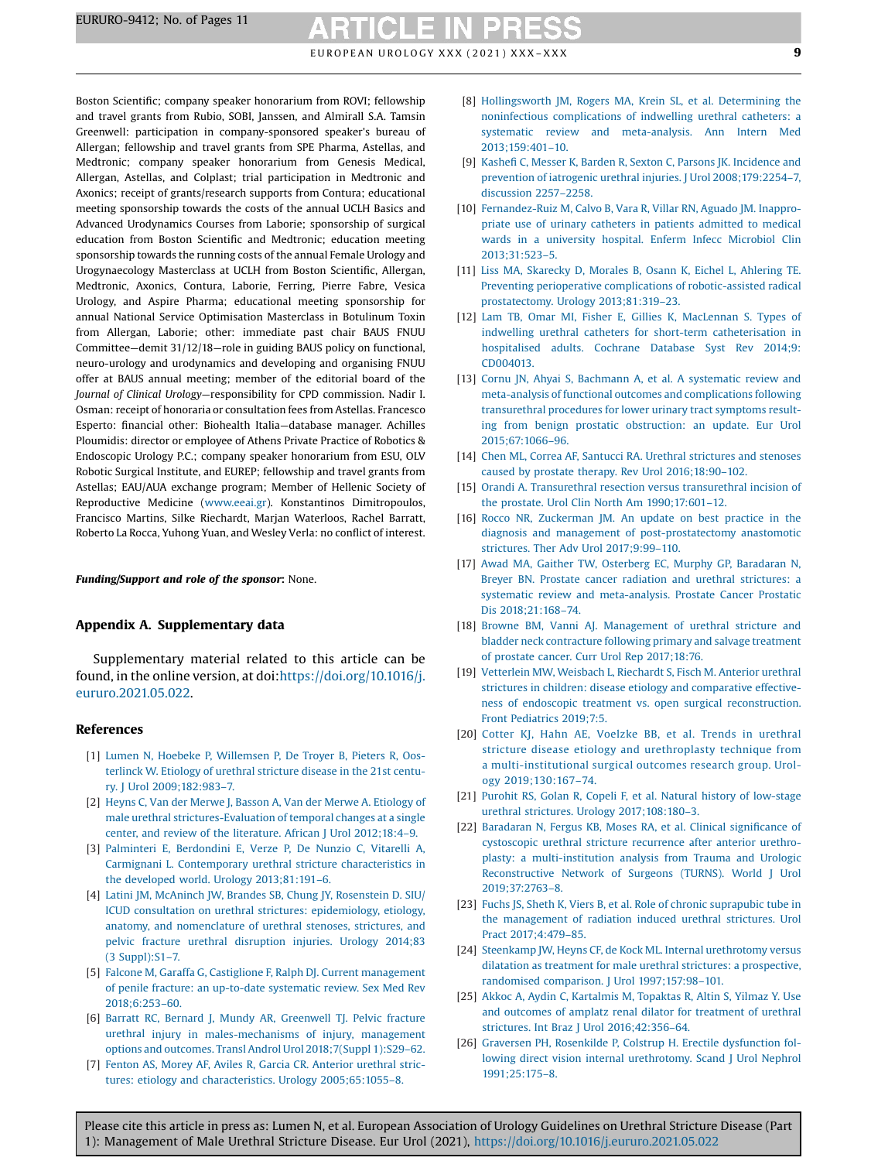EUROPEAN UROLOGY XXX (2021) XXX-XXX  $\qquad \qquad \qquad$ 

<span id="page-8-0"></span>Boston Scientific; company speaker honorarium from ROVI; fellowship and travel grants from Rubio, SOBI, Janssen, and Almirall S.A. Tamsin Greenwell: participation in company-sponsored speaker's bureau of Allergan; fellowship and travel grants from SPE Pharma, Astellas, and Medtronic; company speaker honorarium from Genesis Medical, Allergan, Astellas, and Colplast; trial participation in Medtronic and Axonics; receipt of grants/research supports from Contura; educational meeting sponsorship towards the costs of the annual UCLH Basics and Advanced Urodynamics Courses from Laborie; sponsorship of surgical education from Boston Scientific and Medtronic; education meeting sponsorship towards the running costs of the annual Female Urology and Urogynaecology Masterclass at UCLH from Boston Scientific, Allergan, Medtronic, Axonics, Contura, Laborie, Ferring, Pierre Fabre, Vesica Urology, and Aspire Pharma; educational meeting sponsorship for annual National Service Optimisation Masterclass in Botulinum Toxin from Allergan, Laborie; other: immediate past chair BAUS FNUU Committee—demit 31/12/18—role in guiding BAUS policy on functional, neuro-urology and urodynamics and developing and organising FNUU offer at BAUS annual meeting; member of the editorial board of the Journal of Clinical Urology—responsibility for CPD commission. Nadir I. Osman: receipt of honoraria or consultation fees from Astellas. Francesco Esperto: financial other: Biohealth Italia—database manager. Achilles Ploumidis: director or employee of Athens Private Practice of Robotics & Endoscopic Urology P.C.; company speaker honorarium from ESU, OLV Robotic Surgical Institute, and EUREP; fellowship and travel grants from Astellas; EAU/AUA exchange program; Member of Hellenic Society of Reproductive Medicine [\(www.eeai.gr](http://www.eeai.gr)). Konstantinos Dimitropoulos, Francisco Martins, Silke Riechardt, Marjan Waterloos, Rachel Barratt, Roberto La Rocca, Yuhong Yuan, and Wesley Verla: no conflict of interest.

#### Funding/Support and role of the sponsor: None.

#### Appendix A. Supplementary data

Supplementary material related to this article can be found, in the online version, at doi[:https://doi.org/10.1016/j.](https://doi.org/10.1016/j.eururo.2021.05.022) [eururo.2021.05.022](https://doi.org/10.1016/j.eururo.2021.05.022).

#### References

- [1] Lumen N, Hoebeke P, [Willemsen](http://refhub.elsevier.com/S0302-2838(21)00391-2/sbref0005) P, De Troyer B, Pieters R, Oosterlinck W. Etiology of urethral [stricture](http://refhub.elsevier.com/S0302-2838(21)00391-2/sbref0005) disease in the 21st century. J Urol [2009;182:983](http://refhub.elsevier.com/S0302-2838(21)00391-2/sbref0005)–7.
- [2] Heyns C, Van der Merwe J, Basson A, Van der Merwe A, [Etiology](http://refhub.elsevier.com/S0302-2838(21)00391-2/sbref0010) of male urethral [strictures-Evaluation](http://refhub.elsevier.com/S0302-2838(21)00391-2/sbref0010) of temporal changes at a single center, and review of the literature. African J Urol [2012;18:4](http://refhub.elsevier.com/S0302-2838(21)00391-2/sbref0010)–9.
- [3] Palminteri E, [Berdondini](http://refhub.elsevier.com/S0302-2838(21)00391-2/sbref0015) E, Verze P, De Nunzio C, Vitarelli A, Carmignani L. Contemporary urethral stricture [characteristics](http://refhub.elsevier.com/S0302-2838(21)00391-2/sbref0015) in the developed world. Urology [2013;81:191](http://refhub.elsevier.com/S0302-2838(21)00391-2/sbref0015)–6.
- [4] Latini JM, McAninch JW, Brandes SB, Chung JY, [Rosenstein](http://refhub.elsevier.com/S0302-2838(21)00391-2/sbref0020) D. SIU/ ICUD consultation on urethral strictures: [epidemiology,](http://refhub.elsevier.com/S0302-2838(21)00391-2/sbref0020) etiology, anatomy, and [nomenclature](http://refhub.elsevier.com/S0302-2838(21)00391-2/sbref0020) of urethral stenoses, strictures, and pelvic fracture urethral [disruption](http://refhub.elsevier.com/S0302-2838(21)00391-2/sbref0020) injuries. Urology 2014;83 (3 [Suppl\):S1](http://refhub.elsevier.com/S0302-2838(21)00391-2/sbref0020)–7.
- [5] Falcone M, Garaffa G, Castiglione F, Ralph DJ. Current [management](http://refhub.elsevier.com/S0302-2838(21)00391-2/sbref0025) of penile fracture: an [up-to-date](http://refhub.elsevier.com/S0302-2838(21)00391-2/sbref0025) systematic review. Sex Med Rev [2018;6:253](http://refhub.elsevier.com/S0302-2838(21)00391-2/sbref0025)–60.
- [6] Barratt RC, Bernard J, Mundy AR, [Greenwell](http://refhub.elsevier.com/S0302-2838(21)00391-2/sbref0030) TJ. Pelvic fracture urethral injury in [males-mechanisms](http://refhub.elsevier.com/S0302-2838(21)00391-2/sbref0030) of injury, management options and outcomes. Transl Androl Urol [2018;7\(Suppl](http://refhub.elsevier.com/S0302-2838(21)00391-2/sbref0030) 1):S29–62.
- [7] Fenton AS, Morey AF, Aviles R, Garcia CR. [Anterior](http://refhub.elsevier.com/S0302-2838(21)00391-2/sbref0035) urethral strictures: etiology and [characteristics.](http://refhub.elsevier.com/S0302-2838(21)00391-2/sbref0035) Urology 2005;65:1055–8.
- [8] [Hollingsworth](http://refhub.elsevier.com/S0302-2838(21)00391-2/sbref0040) JM, Rogers MA, Krein SL, et al. Determining the noninfectious [complications](http://refhub.elsevier.com/S0302-2838(21)00391-2/sbref0040) of indwelling urethral catheters: a systematic review and [meta-analysis.](http://refhub.elsevier.com/S0302-2838(21)00391-2/sbref0040) Ann Intern Med [2013;159:401](http://refhub.elsevier.com/S0302-2838(21)00391-2/sbref0040)–10.
- [9] Kashefi C, Messer K, Barden R, Sexton C, Parsons JK. [Incidence](http://refhub.elsevier.com/S0302-2838(21)00391-2/sbref0045) and prevention of iatrogenic urethral injuries. J Urol [2008;179:2254](http://refhub.elsevier.com/S0302-2838(21)00391-2/sbref0045)–7, [discussion](http://refhub.elsevier.com/S0302-2838(21)00391-2/sbref0045) 2257–2258.
- [10] [Fernandez-Ruiz](http://refhub.elsevier.com/S0302-2838(21)00391-2/sbref0050) M, Calvo B, Vara R, Villar RN, Aguado JM. Inappropriate use of urinary [catheters](http://refhub.elsevier.com/S0302-2838(21)00391-2/sbref0050) in patients admitted to medical wards in a [university](http://refhub.elsevier.com/S0302-2838(21)00391-2/sbref0050) hospital. Enferm Infecc Microbiol Clin [2013;31:523](http://refhub.elsevier.com/S0302-2838(21)00391-2/sbref0050)–5.
- [11] Liss MA, [Skarecky](http://refhub.elsevier.com/S0302-2838(21)00391-2/sbref0055) D, Morales B, Osann K, Eichel L, Ahlering TE. Preventing perioperative complications of [robotic-assisted](http://refhub.elsevier.com/S0302-2838(21)00391-2/sbref0055) radical [prostatectomy.](http://refhub.elsevier.com/S0302-2838(21)00391-2/sbref0055) Urology 2013;81:319–23.
- [12] Lam TB, Omar MI, Fisher E, Gillies K, [MacLennan](http://refhub.elsevier.com/S0302-2838(21)00391-2/sbref0060) S. Types of indwelling urethral catheters for short-term [catheterisation](http://refhub.elsevier.com/S0302-2838(21)00391-2/sbref0060) in [hospitalised](http://refhub.elsevier.com/S0302-2838(21)00391-2/sbref0060) adults. Cochrane Database Syst Rev 2014;9: [CD004013.](http://refhub.elsevier.com/S0302-2838(21)00391-2/sbref0060)
- [13] Cornu JN, Ahyai S, Bachmann A, et al. A [systematic](http://refhub.elsevier.com/S0302-2838(21)00391-2/sbref0065) review and meta-analysis of functional outcomes and [complications](http://refhub.elsevier.com/S0302-2838(21)00391-2/sbref0065) following [transurethral](http://refhub.elsevier.com/S0302-2838(21)00391-2/sbref0065) procedures for lower urinary tract symptoms resulting from benign prostatic [obstruction:](http://refhub.elsevier.com/S0302-2838(21)00391-2/sbref0065) an update. Eur Urol [2015;67:1066](http://refhub.elsevier.com/S0302-2838(21)00391-2/sbref0065)–96.
- [14] Chen ML, Correa AF, Santucci RA. Urethral [strictures](http://refhub.elsevier.com/S0302-2838(21)00391-2/sbref0070) and stenoses caused by prostate therapy. Rev Urol [2016;18:90](http://refhub.elsevier.com/S0302-2838(21)00391-2/sbref0070)–102.
- [15] Orandi A. [Transurethral](http://refhub.elsevier.com/S0302-2838(21)00391-2/sbref0075) resection versus transurethral incision of the prostate. Urol Clin North Am [1990;17:601](http://refhub.elsevier.com/S0302-2838(21)00391-2/sbref0075)–12.
- [16] Rocco NR, [Zuckerman](http://refhub.elsevier.com/S0302-2838(21)00391-2/sbref0080) JM. An update on best practice in the diagnosis and management of [post-prostatectomy](http://refhub.elsevier.com/S0302-2838(21)00391-2/sbref0080) anastomotic strictures. Ther Adv Urol [2017;9:99](http://refhub.elsevier.com/S0302-2838(21)00391-2/sbref0080)–110.
- [17] Awad MA, Gaither TW, Osterberg EC, Murphy GP, [Baradaran](http://refhub.elsevier.com/S0302-2838(21)00391-2/sbref0085) N, Breyer BN. Prostate cancer radiation and urethral [strictures:](http://refhub.elsevier.com/S0302-2838(21)00391-2/sbref0085) a systematic review and [meta-analysis.](http://refhub.elsevier.com/S0302-2838(21)00391-2/sbref0085) Prostate Cancer Prostatic Dis [2018;21:168](http://refhub.elsevier.com/S0302-2838(21)00391-2/sbref0085)–74.
- [18] Browne BM, Vanni AJ. [Management](http://refhub.elsevier.com/S0302-2838(21)00391-2/sbref0090) of urethral stricture and bladder neck [contracture](http://refhub.elsevier.com/S0302-2838(21)00391-2/sbref0090) following primary and salvage treatment of prostate cancer. Curr Urol Rep [2017;18:76](http://refhub.elsevier.com/S0302-2838(21)00391-2/sbref0090).
- [19] [Vetterlein](http://refhub.elsevier.com/S0302-2838(21)00391-2/sbref0095) MW, Weisbach L, Riechardt S, Fisch M. Anterior urethral strictures in children: disease etiology and [comparative](http://refhub.elsevier.com/S0302-2838(21)00391-2/sbref0095) effectiveness of endoscopic treatment vs. open surgical [reconstruction.](http://refhub.elsevier.com/S0302-2838(21)00391-2/sbref0095) Front [Pediatrics](http://refhub.elsevier.com/S0302-2838(21)00391-2/sbref0095) 2019;7:5.
- [20] Cotter KJ, Hahn AE, Voelzke BB, et al. Trends in [urethral](http://refhub.elsevier.com/S0302-2838(21)00391-2/sbref0100) stricture disease etiology and [urethroplasty](http://refhub.elsevier.com/S0302-2838(21)00391-2/sbref0100) technique from a [multi-institutional](http://refhub.elsevier.com/S0302-2838(21)00391-2/sbref0100) surgical outcomes research group. Urology [2019;130:167](http://refhub.elsevier.com/S0302-2838(21)00391-2/sbref0100)–74.
- [21] Purohit RS, Golan R, Copeli F, et al. Natural history of [low-stage](http://refhub.elsevier.com/S0302-2838(21)00391-2/sbref0105) urethral strictures. Urology [2017;108:180](http://refhub.elsevier.com/S0302-2838(21)00391-2/sbref0105)–3.
- [22] [Baradaran](http://refhub.elsevier.com/S0302-2838(21)00391-2/sbref0110) N, Fergus KB, Moses RA, et al. Clinical significance of [cystoscopic](http://refhub.elsevier.com/S0302-2838(21)00391-2/sbref0110) urethral stricture recurrence after anterior urethroplasty: a [multi-institution](http://refhub.elsevier.com/S0302-2838(21)00391-2/sbref0110) analysis from Trauma and Urologic [Reconstructive](http://refhub.elsevier.com/S0302-2838(21)00391-2/sbref0110) Network of Surgeons (TURNS). World J Urol [2019;37:2763](http://refhub.elsevier.com/S0302-2838(21)00391-2/sbref0110)–8.
- [23] Fuchs JS, Sheth K, Viers B, et al. Role of chronic [suprapubic](http://refhub.elsevier.com/S0302-2838(21)00391-2/sbref0115) tube in the [management](http://refhub.elsevier.com/S0302-2838(21)00391-2/sbref0115) of radiation induced urethral strictures. Urol Pract [2017;4:479](http://refhub.elsevier.com/S0302-2838(21)00391-2/sbref0115)–85.
- [24] Steenkamp JW, Heyns CF, de Kock ML. Internal [urethrotomy](http://refhub.elsevier.com/S0302-2838(21)00391-2/sbref0120) versus dilatation as treatment for male urethral strictures: a [prospective,](http://refhub.elsevier.com/S0302-2838(21)00391-2/sbref0120) randomised comparison. J Urol [1997;157:98](http://refhub.elsevier.com/S0302-2838(21)00391-2/sbref0120)–101.
- [25] Akkoc A, Aydin C, [Kartalmis](http://refhub.elsevier.com/S0302-2838(21)00391-2/sbref0125) M, Topaktas R, Altin S, Yilmaz Y. Use and outcomes of amplatz renal dilator for [treatment](http://refhub.elsevier.com/S0302-2838(21)00391-2/sbref0125) of urethral strictures. Int Braz J Urol [2016;42:356](http://refhub.elsevier.com/S0302-2838(21)00391-2/sbref0125)–64.
- [26] Graversen PH, Rosenkilde P, Colstrup H. Erectile [dysfunction](http://refhub.elsevier.com/S0302-2838(21)00391-2/sbref0130) following direct vision internal [urethrotomy.](http://refhub.elsevier.com/S0302-2838(21)00391-2/sbref0130) Scand J Urol Nephrol [1991;25:175](http://refhub.elsevier.com/S0302-2838(21)00391-2/sbref0130)–8.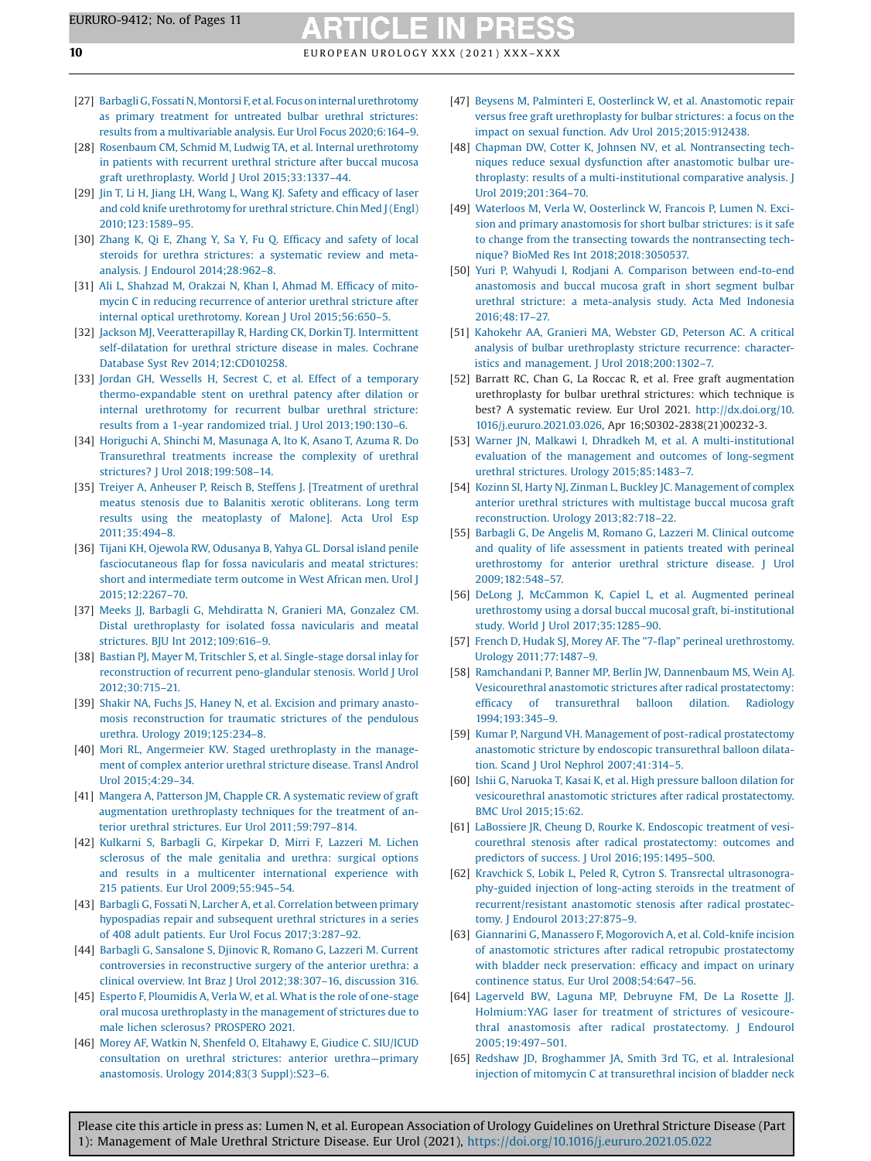- <span id="page-9-0"></span>[27] Barbagli G, Fossati N, Montorsi F, et al. Focus on internal urethrotomy as primary treatment for untreated bulbar urethral [strictures:](http://refhub.elsevier.com/S0302-2838(21)00391-2/sbref0135) results from a [multivariable](http://refhub.elsevier.com/S0302-2838(21)00391-2/sbref0135) analysis. Eur Urol Focus 2020;6:164–9.
- [28] Rosenbaum CM, Schmid M, Ludwig TA, et al. Internal [urethrotomy](http://refhub.elsevier.com/S0302-2838(21)00391-2/sbref0140) in patients with [recurrent](http://refhub.elsevier.com/S0302-2838(21)00391-2/sbref0140) urethral stricture after buccal mucosa graft [urethroplasty.](http://refhub.elsevier.com/S0302-2838(21)00391-2/sbref0140) World J Urol 2015;33:1337–44.
- [29] Jin T, Li H, Jiang LH, Wang L, Wang KJ. [Safety](http://refhub.elsevier.com/S0302-2838(21)00391-2/sbref0145) and efficacy of laser and cold knife [urethrotomy](http://refhub.elsevier.com/S0302-2838(21)00391-2/sbref0145) for urethral stricture. Chin Med J(Engl) [2010;123:1589](http://refhub.elsevier.com/S0302-2838(21)00391-2/sbref0145)–95.
- [30] [Zhang](http://refhub.elsevier.com/S0302-2838(21)00391-2/sbref0150) K, Qi E, Zhang Y, Sa Y, Fu Q. Efficacy and safety of local steroids for urethra strictures: a [systematic](http://refhub.elsevier.com/S0302-2838(21)00391-2/sbref0150) review and metaanalysis. J Endourol [2014;28:962](http://refhub.elsevier.com/S0302-2838(21)00391-2/sbref0150)–8.
- [31] Ali L, [Shahzad](http://refhub.elsevier.com/S0302-2838(21)00391-2/sbref0155) M, Orakzai N, Khan I, Ahmad M. Efficacy of mitomycin C in reducing [recurrence](http://refhub.elsevier.com/S0302-2838(21)00391-2/sbref0155) of anterior urethral stricture after internal optical [urethrotomy.](http://refhub.elsevier.com/S0302-2838(21)00391-2/sbref0155) Korean J Urol 2015;56:650–5.
- [32] Jackson MJ, [Veeratterapillay](http://refhub.elsevier.com/S0302-2838(21)00391-2/sbref0160) R, Harding CK, Dorkin TJ. Intermittent [self-dilatation](http://refhub.elsevier.com/S0302-2838(21)00391-2/sbref0160) for urethral stricture disease in males. Cochrane Database Syst Rev [2014;12:CD010258.](http://refhub.elsevier.com/S0302-2838(21)00391-2/sbref0160)
- [33] Jordan GH, Wessells H, Secrest C, et al. Effect of a [temporary](http://refhub.elsevier.com/S0302-2838(21)00391-2/sbref0165) [thermo-expandable](http://refhub.elsevier.com/S0302-2838(21)00391-2/sbref0165) stent on urethral patency after dilation or internal [urethrotomy](http://refhub.elsevier.com/S0302-2838(21)00391-2/sbref0165) for recurrent bulbar urethral stricture: results from a 1-year randomized trial. J Urol [2013;190:130](http://refhub.elsevier.com/S0302-2838(21)00391-2/sbref0165)–6.
- [34] Horiguchi A, Shinchi M, [Masunaga](http://refhub.elsevier.com/S0302-2838(21)00391-2/sbref0170) A, Ito K, Asano T, Azuma R. Do [Transurethral](http://refhub.elsevier.com/S0302-2838(21)00391-2/sbref0170) treatments increase the complexity of urethral strictures? J Urol [2018;199:508](http://refhub.elsevier.com/S0302-2838(21)00391-2/sbref0170)–14.
- [35] Treiyer A, Anheuser P, Reisch B, Steffens J. [\[Treatment](http://refhub.elsevier.com/S0302-2838(21)00391-2/sbref0175) of urethral meatus stenosis due to Balanitis xerotic [obliterans.](http://refhub.elsevier.com/S0302-2838(21)00391-2/sbref0175) Long term results using the [meatoplasty](http://refhub.elsevier.com/S0302-2838(21)00391-2/sbref0175) of Malone]. Acta Urol Esp [2011;35:494](http://refhub.elsevier.com/S0302-2838(21)00391-2/sbref0175)–8.
- [36] Tijani KH, Ojewola RW, [Odusanya](http://refhub.elsevier.com/S0302-2838(21)00391-2/sbref0180) B, Yahya GL. Dorsal island penile [fasciocutaneous](http://refhub.elsevier.com/S0302-2838(21)00391-2/sbref0180) flap for fossa navicularis and meatal strictures: short and [intermediate](http://refhub.elsevier.com/S0302-2838(21)00391-2/sbref0180) term outcome in West African men. Urol J [2015;12:2267](http://refhub.elsevier.com/S0302-2838(21)00391-2/sbref0180)–70.
- [37] Meeks JJ, Barbagli G, [Mehdiratta](http://refhub.elsevier.com/S0302-2838(21)00391-2/sbref0185) N, Granieri MA, Gonzalez CM. Distal [urethroplasty](http://refhub.elsevier.com/S0302-2838(21)00391-2/sbref0185) for isolated fossa navicularis and meatal strictures. BJU Int [2012;109:616](http://refhub.elsevier.com/S0302-2838(21)00391-2/sbref0185)–9.
- [38] Bastian PJ, Mayer M, Tritschler S, et al. [Single-stage](http://refhub.elsevier.com/S0302-2838(21)00391-2/sbref0190) dorsal inlay for reconstruction of recurrent [peno-glandular](http://refhub.elsevier.com/S0302-2838(21)00391-2/sbref0190) stenosis. World J Urol [2012;30:715](http://refhub.elsevier.com/S0302-2838(21)00391-2/sbref0190)–21.
- [39] Shakir NA, Fuchs JS, Haney N, et al. [Excision](http://refhub.elsevier.com/S0302-2838(21)00391-2/sbref0195) and primary anastomosis [reconstruction](http://refhub.elsevier.com/S0302-2838(21)00391-2/sbref0195) for traumatic strictures of the pendulous urethra. Urology [2019;125:234](http://refhub.elsevier.com/S0302-2838(21)00391-2/sbref0195)–8.
- [40] Mori RL, Angermeier KW. Staged [urethroplasty](http://refhub.elsevier.com/S0302-2838(21)00391-2/sbref0200) in the management of [complex](http://refhub.elsevier.com/S0302-2838(21)00391-2/sbref0200) anterior urethral stricture disease. Transl Androl Urol [2015;4:29](http://refhub.elsevier.com/S0302-2838(21)00391-2/sbref0200)–34.
- [41] Mangera A, Patterson JM, Chapple CR. A [systematic](http://refhub.elsevier.com/S0302-2838(21)00391-2/sbref0205) review of graft [augmentation](http://refhub.elsevier.com/S0302-2838(21)00391-2/sbref0205) urethroplasty techniques for the treatment of anterior urethral strictures. Eur Urol [2011;59:797](http://refhub.elsevier.com/S0302-2838(21)00391-2/sbref0205)–814.
- [42] Kulkarni S, Barbagli G, [Kirpekar](http://refhub.elsevier.com/S0302-2838(21)00391-2/sbref0210) D, Mirri F, Lazzeri M. Lichen [sclerosus](http://refhub.elsevier.com/S0302-2838(21)00391-2/sbref0210) of the male genitalia and urethra: surgical options and results in a multicenter [international](http://refhub.elsevier.com/S0302-2838(21)00391-2/sbref0210) experience with 215 patients. Eur Urol [2009;55:945](http://refhub.elsevier.com/S0302-2838(21)00391-2/sbref0210)–54.
- [43] Barbagli G, Fossati N, Larcher A, et al. [Correlation](http://refhub.elsevier.com/S0302-2838(21)00391-2/sbref0215) between primary [hypospadias](http://refhub.elsevier.com/S0302-2838(21)00391-2/sbref0215) repair and subsequent urethral strictures in a series of 408 adult patients. Eur Urol Focus [2017;3:287](http://refhub.elsevier.com/S0302-2838(21)00391-2/sbref0215)–92.
- [44] Barbagli G, [Sansalone](http://refhub.elsevier.com/S0302-2838(21)00391-2/sbref0220) S, Djinovic R, Romano G, Lazzeri M. Current controversies in [reconstructive](http://refhub.elsevier.com/S0302-2838(21)00391-2/sbref0220) surgery of the anterior urethra: a clinical overview. Int Braz J Urol [2012;38:307](http://refhub.elsevier.com/S0302-2838(21)00391-2/sbref0220)–16, discussion 316.
- [45] Esperto F, [Ploumidis](http://refhub.elsevier.com/S0302-2838(21)00391-2/sbref0225) A, Verla W, et al. What is the role of one-stage oral mucosa [urethroplasty](http://refhub.elsevier.com/S0302-2838(21)00391-2/sbref0225) in the management of strictures due to male lichen sclerosus? [PROSPERO](http://refhub.elsevier.com/S0302-2838(21)00391-2/sbref0225) 2021.
- [46] Morey AF, Watkin N, Shenfeld O, [Eltahawy](http://refhub.elsevier.com/S0302-2838(21)00391-2/sbref0230) E, Giudice C. SIU/ICUD [consultation](http://refhub.elsevier.com/S0302-2838(21)00391-2/sbref0230) on urethral strictures: anterior urethra—primary [anastomosis.](http://refhub.elsevier.com/S0302-2838(21)00391-2/sbref0230) Urology 2014;83(3 Suppl):S23–6.
- [47] Beysens M, Palminteri E, Oosterlinck W, et al. [Anastomotic](http://refhub.elsevier.com/S0302-2838(21)00391-2/sbref0235) repair versus free graft [urethroplasty](http://refhub.elsevier.com/S0302-2838(21)00391-2/sbref0235) for bulbar strictures: a focus on the impact on sexual function. Adv Urol [2015;2015:912438](http://refhub.elsevier.com/S0302-2838(21)00391-2/sbref0235).
- [48] Chapman DW, Cotter K, Johnsen NV, et al. [Nontransecting](http://refhub.elsevier.com/S0302-2838(21)00391-2/sbref0240) techniques reduce sexual dysfunction after [anastomotic](http://refhub.elsevier.com/S0302-2838(21)00391-2/sbref0240) bulbar urethroplasty: results of a [multi-institutional](http://refhub.elsevier.com/S0302-2838(21)00391-2/sbref0240) comparative analysis. J Urol [2019;201:364](http://refhub.elsevier.com/S0302-2838(21)00391-2/sbref0240)–70.
- [49] Waterloos M, Verla W, [Oosterlinck](http://refhub.elsevier.com/S0302-2838(21)00391-2/sbref0245) W, Francois P, Lumen N. Excision and primary [anastomosis](http://refhub.elsevier.com/S0302-2838(21)00391-2/sbref0245) for short bulbar strictures: is it safe to change from the transecting towards the [nontransecting](http://refhub.elsevier.com/S0302-2838(21)00391-2/sbref0245) technique? BioMed Res Int [2018;2018:3050537.](http://refhub.elsevier.com/S0302-2838(21)00391-2/sbref0245)
- [50] Yuri P, Wahyudi I, Rodjani A. [Comparison](http://refhub.elsevier.com/S0302-2838(21)00391-2/sbref0250) between end-to-end [anastomosis](http://refhub.elsevier.com/S0302-2838(21)00391-2/sbref0250) and buccal mucosa graft in short segment bulbar urethral stricture: a [meta-analysis](http://refhub.elsevier.com/S0302-2838(21)00391-2/sbref0250) study. Acta Med Indonesia [2016;48:17](http://refhub.elsevier.com/S0302-2838(21)00391-2/sbref0250)–27.
- [51] [Kahokehr](http://refhub.elsevier.com/S0302-2838(21)00391-2/sbref0255) AA, Granieri MA, Webster GD, Peterson AC. A critical analysis of bulbar [urethroplasty](http://refhub.elsevier.com/S0302-2838(21)00391-2/sbref0255) stricture recurrence: characteristics and management. J Urol [2018;200:1302](http://refhub.elsevier.com/S0302-2838(21)00391-2/sbref0255)–7.
- [52] Barratt RC, Chan G, La Roccac R, et al. Free graft augmentation urethroplasty for bulbar urethral strictures: which technique is best? A systematic review. Eur Urol 2021. [http://dx.doi.org/10.](http://dx.doi.org/10.1016/j.eururo.2021.03.026) [1016/j.eururo.2021.03.026,](http://dx.doi.org/10.1016/j.eururo.2021.03.026) Apr 16;S0302-2838(21)00232-3.
- [53] Warner JN, Malkawi I, Dhradkeh M, et al. A [multi-institutional](http://refhub.elsevier.com/S0302-2838(21)00391-2/sbref0260) evaluation of the management and outcomes of [long-segment](http://refhub.elsevier.com/S0302-2838(21)00391-2/sbref0260) urethral strictures. Urology [2015;85:1483](http://refhub.elsevier.com/S0302-2838(21)00391-2/sbref0260)–7.
- [54] Kozinn SI, Harty NJ, Zinman L, Buckley JC. [Management](http://refhub.elsevier.com/S0302-2838(21)00391-2/sbref0265) of complex anterior urethral strictures with [multistage](http://refhub.elsevier.com/S0302-2838(21)00391-2/sbref0265) buccal mucosa graft [reconstruction.](http://refhub.elsevier.com/S0302-2838(21)00391-2/sbref0265) Urology 2013;82:718–22.
- [55] Barbagli G, De Angelis M, Romano G, Lazzeri M. Clinical [outcome](http://refhub.elsevier.com/S0302-2838(21)00391-2/sbref0270) and quality of life [assessment](http://refhub.elsevier.com/S0302-2838(21)00391-2/sbref0270) in patients treated with perineal [urethrostomy](http://refhub.elsevier.com/S0302-2838(21)00391-2/sbref0270) for anterior urethral stricture disease. J Urol [2009;182:548](http://refhub.elsevier.com/S0302-2838(21)00391-2/sbref0270)–57.
- [56] DeLong J, [McCammon](http://refhub.elsevier.com/S0302-2838(21)00391-2/sbref0275) K, Capiel L, et al. Augmented perineal urethrostomy using a dorsal buccal mucosal graft, [bi-institutional](http://refhub.elsevier.com/S0302-2838(21)00391-2/sbref0275) study. World J Urol [2017;35:1285](http://refhub.elsevier.com/S0302-2838(21)00391-2/sbref0275)–90.
- [57] French D, Hudak SJ, Morey AF. The "7-flap" perineal [urethrostomy.](http://refhub.elsevier.com/S0302-2838(21)00391-2/sbref0280) Urology [2011;77:1487](http://refhub.elsevier.com/S0302-2838(21)00391-2/sbref0280)–9.
- [58] [Ramchandani](http://refhub.elsevier.com/S0302-2838(21)00391-2/sbref0285) P, Banner MP, Berlin JW, Dannenbaum MS, Wein AJ. Vesicourethral anastomotic strictures after radical [prostatectomy:](http://refhub.elsevier.com/S0302-2838(21)00391-2/sbref0285) efficacy of [transurethral](http://refhub.elsevier.com/S0302-2838(21)00391-2/sbref0285) balloon dilation. Radiology [1994;193:345](http://refhub.elsevier.com/S0302-2838(21)00391-2/sbref0285)–9.
- [59] Kumar P, Nargund VH. Management of post-radical [prostatectomy](http://refhub.elsevier.com/S0302-2838(21)00391-2/sbref0290) anastomotic stricture by endoscopic [transurethral](http://refhub.elsevier.com/S0302-2838(21)00391-2/sbref0290) balloon dilatation. Scand J Urol Nephrol [2007;41:314](http://refhub.elsevier.com/S0302-2838(21)00391-2/sbref0290)–5.
- [60] Ishii G, Naruoka T, Kasai K, et al. High [pressure](http://refhub.elsevier.com/S0302-2838(21)00391-2/sbref0295) balloon dilation for vesicourethral anastomotic strictures after radical [prostatectomy.](http://refhub.elsevier.com/S0302-2838(21)00391-2/sbref0295) BMC Urol [2015;15:62](http://refhub.elsevier.com/S0302-2838(21)00391-2/sbref0295).
- [61] LaBossiere JR, Cheung D, Rourke K. [Endoscopic](http://refhub.elsevier.com/S0302-2838(21)00391-2/sbref0300) treatment of vesicourethral stenosis after radical [prostatectomy:](http://refhub.elsevier.com/S0302-2838(21)00391-2/sbref0300) outcomes and predictors of success. J Urol [2016;195:1495](http://refhub.elsevier.com/S0302-2838(21)00391-2/sbref0300)–500.
- [62] Kravchick S, Lobik L, Peled R, Cytron S. Transrectal [ultrasonogra](http://refhub.elsevier.com/S0302-2838(21)00391-2/sbref0305)[phy-guided](http://refhub.elsevier.com/S0302-2838(21)00391-2/sbref0305) injection of long-acting steroids in the treatment of [recurrent/resistant](http://refhub.elsevier.com/S0302-2838(21)00391-2/sbref0305) anastomotic stenosis after radical prostatectomy. J Endourol [2013;27:875](http://refhub.elsevier.com/S0302-2838(21)00391-2/sbref0305)–9.
- [63] Giannarini G, Manassero F, [Mogorovich](http://refhub.elsevier.com/S0302-2838(21)00391-2/sbref0310) A, et al. Cold-knife incision of anastomotic strictures after radical retropubic [prostatectomy](http://refhub.elsevier.com/S0302-2838(21)00391-2/sbref0310) with bladder neck [preservation:](http://refhub.elsevier.com/S0302-2838(21)00391-2/sbref0310) efficacy and impact on urinary continence status. Eur Urol [2008;54:647](http://refhub.elsevier.com/S0302-2838(21)00391-2/sbref0310)–56.
- [64] Lagerveld BW, Laguna MP, [Debruyne](http://refhub.elsevier.com/S0302-2838(21)00391-2/sbref0315) FM, De La Rosette JJ. [Holmium:YAG](http://refhub.elsevier.com/S0302-2838(21)00391-2/sbref0315) laser for treatment of strictures of vesicourethral anastomosis after radical [prostatectomy.](http://refhub.elsevier.com/S0302-2838(21)00391-2/sbref0315) J Endourol [2005;19:497](http://refhub.elsevier.com/S0302-2838(21)00391-2/sbref0315)–501.
- [65] Redshaw JD, [Broghammer](http://refhub.elsevier.com/S0302-2838(21)00391-2/sbref0320) JA, Smith 3rd TG, et al. Intralesional injection of mitomycin C at [transurethral](http://refhub.elsevier.com/S0302-2838(21)00391-2/sbref0320) incision of bladder neck